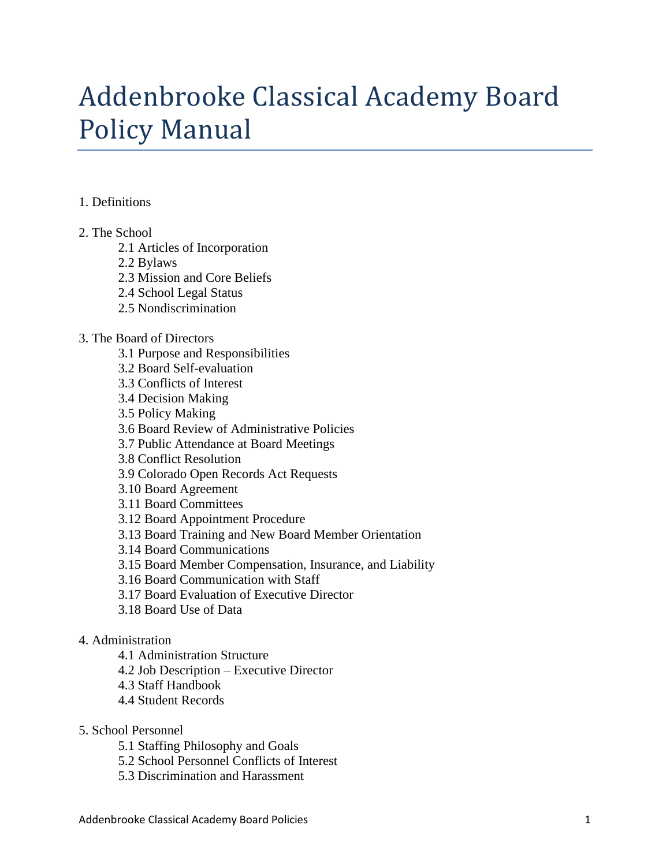# Addenbrooke Classical Academy Board Policy Manual

#### 1. Definitions

- 2. The School
	- 2.1 Articles of Incorporation
	- 2.2 Bylaws
	- 2.3 Mission and Core Beliefs
	- 2.4 School Legal Status
	- 2.5 Nondiscrimination

#### 3. The Board of Directors

- 3.1 Purpose and Responsibilities
- 3.2 Board Self-evaluation
- 3.3 Conflicts of Interest
- 3.4 Decision Making
- 3.5 Policy Making
- 3.6 Board Review of Administrative Policies
- 3.7 Public Attendance at Board Meetings
- 3.8 Conflict Resolution
- 3.9 Colorado Open Records Act Requests
- 3.10 Board Agreement
- 3.11 Board Committees
- 3.12 Board Appointment Procedure
- 3.13 Board Training and New Board Member Orientation
- 3.14 Board Communications
- 3.15 Board Member Compensation, Insurance, and Liability
- 3.16 Board Communication with Staff
- 3.17 Board Evaluation of Executive Director
- 3.18 Board Use of Data

# 4. Administration

- 4.1 Administration Structure
- 4.2 Job Description Executive Director
- 4.3 Staff Handbook
- 4.4 Student Records
- 5. School Personnel
	- 5.1 Staffing Philosophy and Goals
	- 5.2 School Personnel Conflicts of Interest
	- 5.3 Discrimination and Harassment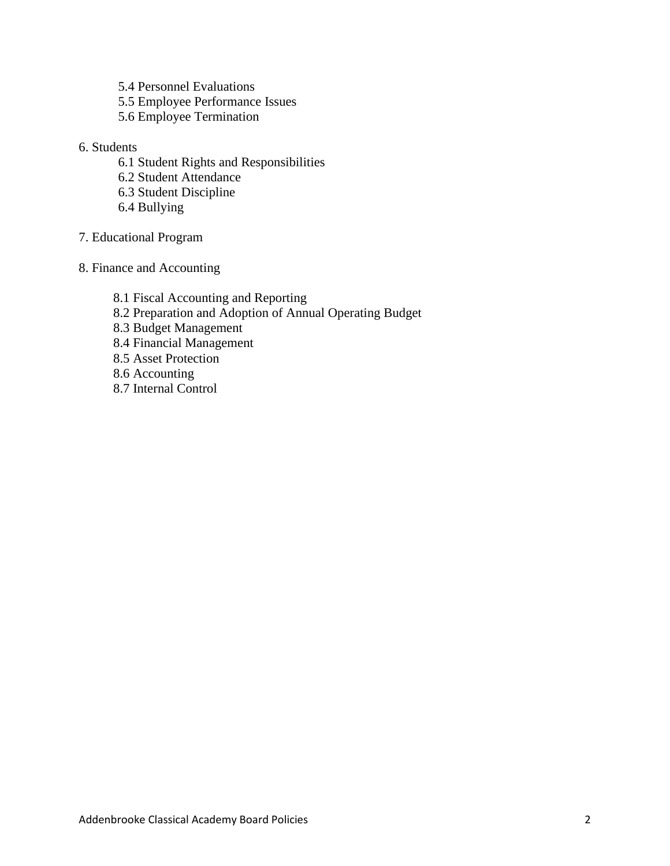- 5.4 Personnel Evaluations
- 5.5 Employee Performance Issues
- 5.6 Employee Termination
- 6. Students
	- 6.1 Student Rights and Responsibilities
	- 6.2 Student Attendance
	- 6.3 Student Discipline
	- 6.4 Bullying
- 7. Educational Program
- 8. Finance and Accounting

8.1 Fiscal Accounting and Reporting 8.2 Preparation and Adoption of Annual Operating Budget 8.3 Budget Management 8.4 Financial Management 8.5 Asset Protection 8.6 Accounting 8.7 Internal Control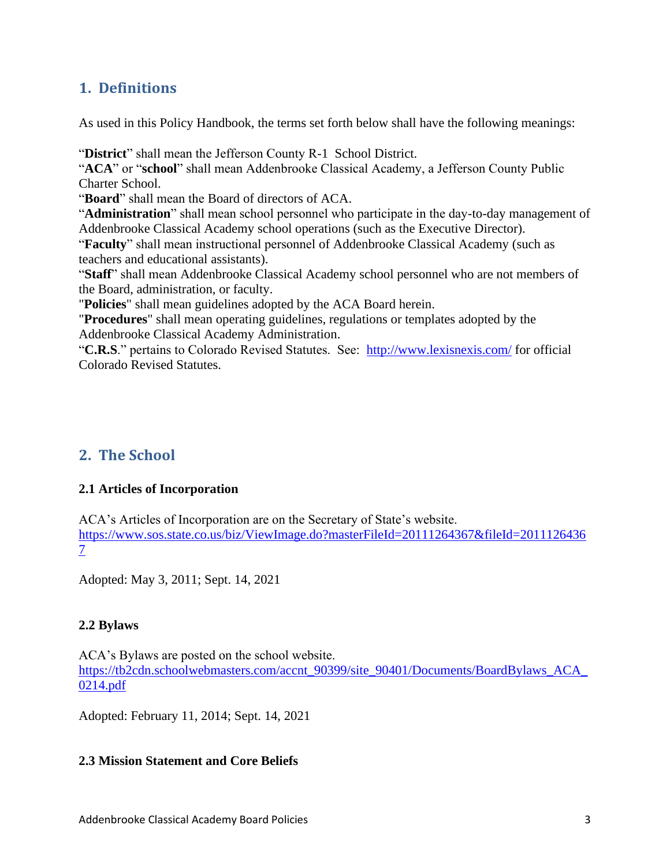# **1. Definitions**

As used in this Policy Handbook, the terms set forth below shall have the following meanings:

"**District**" shall mean the Jefferson County R-1 School District.

"**ACA**" or "**school**" shall mean Addenbrooke Classical Academy, a Jefferson County Public Charter School.

"**Board**" shall mean the Board of directors of ACA.

"**Administration**" shall mean school personnel who participate in the day-to-day management of Addenbrooke Classical Academy school operations (such as the Executive Director).

"**Faculty**" shall mean instructional personnel of Addenbrooke Classical Academy (such as teachers and educational assistants).

"**Staff**" shall mean Addenbrooke Classical Academy school personnel who are not members of the Board, administration, or faculty.

"**Policies**" shall mean guidelines adopted by the ACA Board herein.

"**Procedures**" shall mean operating guidelines, regulations or templates adopted by the Addenbrooke Classical Academy Administration.

"**C.R.S**." pertains to Colorado Revised Statutes. See: <http://www.lexisnexis.com/> for official Colorado Revised Statutes.

# **2. The School**

# **2.1 Articles of Incorporation**

ACA's Articles of Incorporation are on the Secretary of State's website. [https://www.sos.state.co.us/biz/ViewImage.do?masterFileId=20111264367&fileId=2011126436](https://www.sos.state.co.us/biz/ViewImage.do?masterFileId=20111264367&fileId=20111264367) [7](https://www.sos.state.co.us/biz/ViewImage.do?masterFileId=20111264367&fileId=20111264367)

Adopted: May 3, 2011; Sept. 14, 2021

# **2.2 Bylaws**

ACA's Bylaws are posted on the school website. [https://tb2cdn.schoolwebmasters.com/accnt\\_90399/site\\_90401/Documents/BoardBylaws\\_ACA\\_](https://tb2cdn.schoolwebmasters.com/accnt_90399/site_90401/Documents/BoardBylaws_ACA_0214.pdf) [0214.pdf](https://tb2cdn.schoolwebmasters.com/accnt_90399/site_90401/Documents/BoardBylaws_ACA_0214.pdf)

Adopted: February 11, 2014; Sept. 14, 2021

# **2.3 Mission Statement and Core Beliefs**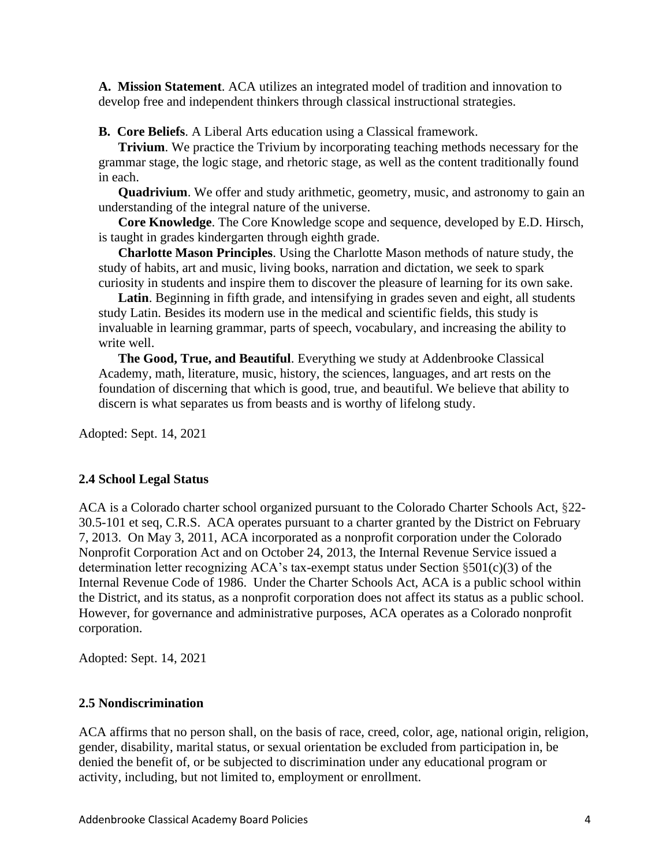**A. Mission Statement**. ACA utilizes an integrated model of tradition and innovation to develop free and independent thinkers through classical instructional strategies.

**B. Core Beliefs**. A Liberal Arts education using a Classical framework.

**Trivium.** We practice the Trivium by incorporating teaching methods necessary for the grammar stage, the logic stage, and rhetoric stage, as well as the content traditionally found in each.

**Quadrivium**. We offer and study arithmetic, geometry, music, and astronomy to gain an understanding of the integral nature of the universe.

**Core Knowledge**. The Core Knowledge scope and sequence, developed by E.D. Hirsch, is taught in grades kindergarten through eighth grade.

**Charlotte Mason Principles**. Using the Charlotte Mason methods of nature study, the study of habits, art and music, living books, narration and dictation, we seek to spark curiosity in students and inspire them to discover the pleasure of learning for its own sake.

Latin. Beginning in fifth grade, and intensifying in grades seven and eight, all students study Latin. Besides its modern use in the medical and scientific fields, this study is invaluable in learning grammar, parts of speech, vocabulary, and increasing the ability to write well.

**The Good, True, and Beautiful**. Everything we study at Addenbrooke Classical Academy, math, literature, music, history, the sciences, languages, and art rests on the foundation of discerning that which is good, true, and beautiful. We believe that ability to discern is what separates us from beasts and is worthy of lifelong study.

Adopted: Sept. 14, 2021

# **2.4 School Legal Status**

ACA is a Colorado charter school organized pursuant to the Colorado Charter Schools Act, §22- 30.5-101 et seq, C.R.S. ACA operates pursuant to a charter granted by the District on February 7, 2013. On May 3, 2011, ACA incorporated as a nonprofit corporation under the Colorado Nonprofit Corporation Act and on October 24, 2013, the Internal Revenue Service issued a determination letter recognizing ACA's tax-exempt status under Section §501(c)(3) of the Internal Revenue Code of 1986. Under the Charter Schools Act, ACA is a public school within the District, and its status, as a nonprofit corporation does not affect its status as a public school. However, for governance and administrative purposes, ACA operates as a Colorado nonprofit corporation.

Adopted: Sept. 14, 2021

#### **2.5 Nondiscrimination**

ACA affirms that no person shall, on the basis of race, creed, color, age, national origin, religion, gender, disability, marital status, or sexual orientation be excluded from participation in, be denied the benefit of, or be subjected to discrimination under any educational program or activity, including, but not limited to, employment or enrollment.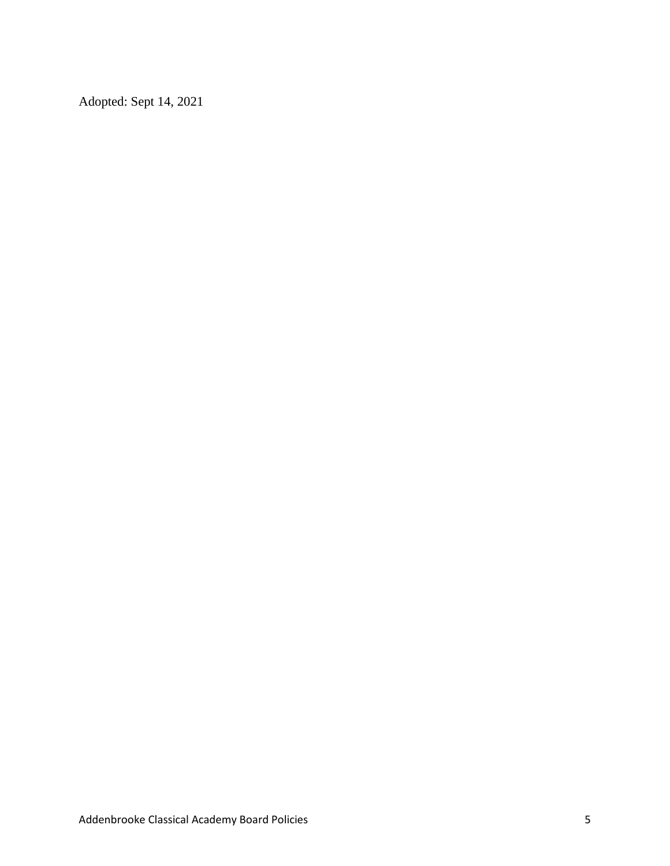Adopted: Sept 14, 2021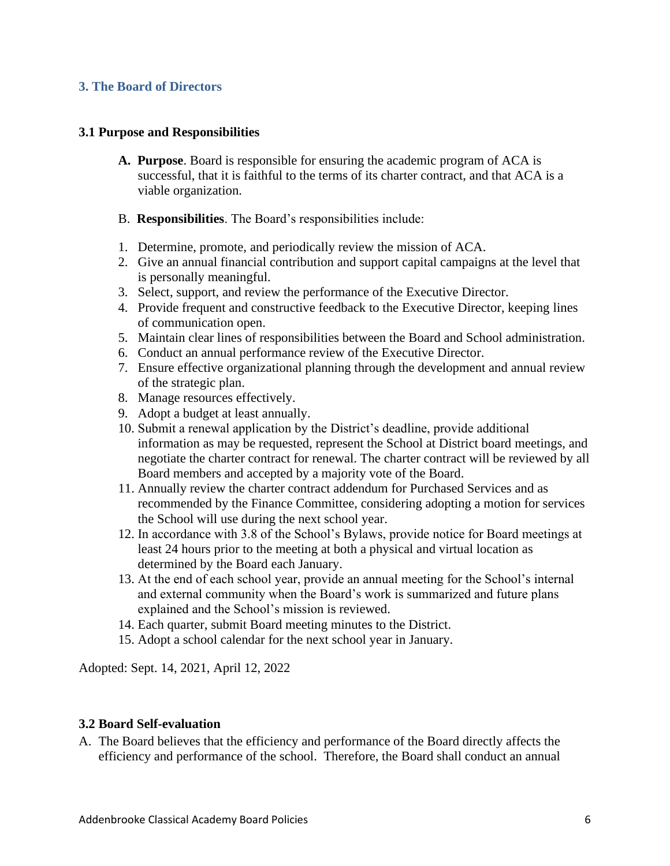# **3. The Board of Directors**

#### **3.1 Purpose and Responsibilities**

- **A. Purpose**. Board is responsible for ensuring the academic program of ACA is successful, that it is faithful to the terms of its charter contract, and that ACA is a viable organization.
- B. **Responsibilities**. The Board's responsibilities include:
- 1. Determine, promote, and periodically review the mission of ACA.
- 2. Give an annual financial contribution and support capital campaigns at the level that is personally meaningful.
- 3. Select, support, and review the performance of the Executive Director.
- 4. Provide frequent and constructive feedback to the Executive Director, keeping lines of communication open.
- 5. Maintain clear lines of responsibilities between the Board and School administration.
- 6. Conduct an annual performance review of the Executive Director.
- 7. Ensure effective organizational planning through the development and annual review of the strategic plan.
- 8. Manage resources effectively.
- 9. Adopt a budget at least annually.
- 10. Submit a renewal application by the District's deadline, provide additional information as may be requested, represent the School at District board meetings, and negotiate the charter contract for renewal. The charter contract will be reviewed by all Board members and accepted by a majority vote of the Board.
- 11. Annually review the charter contract addendum for Purchased Services and as recommended by the Finance Committee, considering adopting a motion for services the School will use during the next school year.
- 12. In accordance with 3.8 of the School's Bylaws, provide notice for Board meetings at least 24 hours prior to the meeting at both a physical and virtual location as determined by the Board each January.
- 13. At the end of each school year, provide an annual meeting for the School's internal and external community when the Board's work is summarized and future plans explained and the School's mission is reviewed.
- 14. Each quarter, submit Board meeting minutes to the District.
- 15. Adopt a school calendar for the next school year in January.

Adopted: Sept. 14, 2021, April 12, 2022

# **3.2 Board Self-evaluation**

A. The Board believes that the efficiency and performance of the Board directly affects the efficiency and performance of the school. Therefore, the Board shall conduct an annual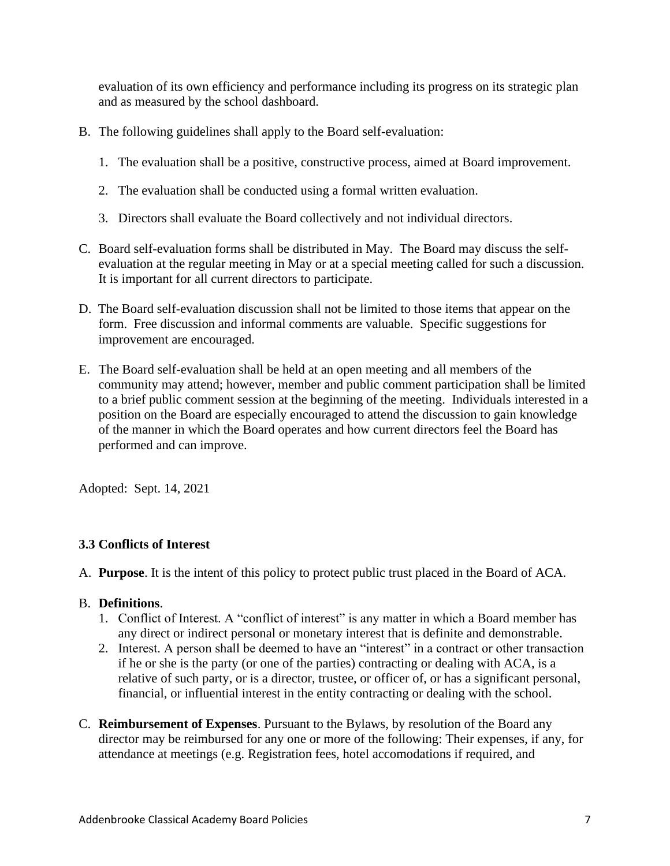evaluation of its own efficiency and performance including its progress on its strategic plan and as measured by the school dashboard.

- B. The following guidelines shall apply to the Board self-evaluation:
	- 1. The evaluation shall be a positive, constructive process, aimed at Board improvement.
	- 2. The evaluation shall be conducted using a formal written evaluation.
	- 3. Directors shall evaluate the Board collectively and not individual directors.
- C. Board self-evaluation forms shall be distributed in May. The Board may discuss the selfevaluation at the regular meeting in May or at a special meeting called for such a discussion. It is important for all current directors to participate.
- D. The Board self-evaluation discussion shall not be limited to those items that appear on the form. Free discussion and informal comments are valuable. Specific suggestions for improvement are encouraged.
- E. The Board self-evaluation shall be held at an open meeting and all members of the community may attend; however, member and public comment participation shall be limited to a brief public comment session at the beginning of the meeting. Individuals interested in a position on the Board are especially encouraged to attend the discussion to gain knowledge of the manner in which the Board operates and how current directors feel the Board has performed and can improve.

Adopted: Sept. 14, 2021

# **3.3 Conflicts of Interest**

A. **Purpose**. It is the intent of this policy to protect public trust placed in the Board of ACA.

# B. **Definitions**.

- 1. Conflict of Interest. A "conflict of interest" is any matter in which a Board member has any direct or indirect personal or monetary interest that is definite and demonstrable.
- 2. Interest. A person shall be deemed to have an "interest" in a contract or other transaction if he or she is the party (or one of the parties) contracting or dealing with ACA, is a relative of such party, or is a director, trustee, or officer of, or has a significant personal, financial, or influential interest in the entity contracting or dealing with the school.
- C. **Reimbursement of Expenses**. Pursuant to the Bylaws, by resolution of the Board any director may be reimbursed for any one or more of the following: Their expenses, if any, for attendance at meetings (e.g. Registration fees, hotel accomodations if required, and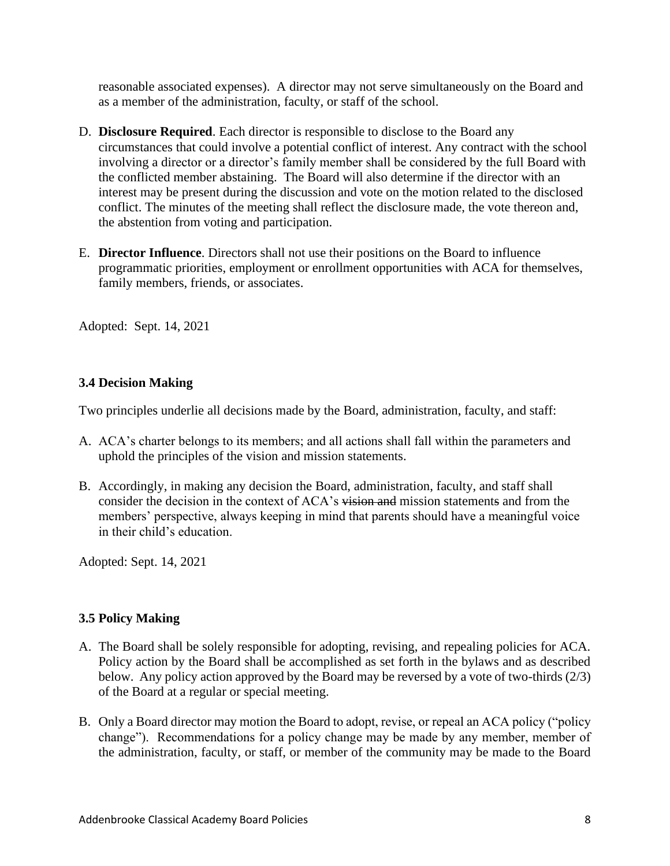reasonable associated expenses). A director may not serve simultaneously on the Board and as a member of the administration, faculty, or staff of the school.

- D. **Disclosure Required**. Each director is responsible to disclose to the Board any circumstances that could involve a potential conflict of interest. Any contract with the school involving a director or a director's family member shall be considered by the full Board with the conflicted member abstaining. The Board will also determine if the director with an interest may be present during the discussion and vote on the motion related to the disclosed conflict. The minutes of the meeting shall reflect the disclosure made, the vote thereon and, the abstention from voting and participation.
- E. **Director Influence**. Directors shall not use their positions on the Board to influence programmatic priorities, employment or enrollment opportunities with ACA for themselves, family members, friends, or associates.

Adopted: Sept. 14, 2021

# **3.4 Decision Making**

Two principles underlie all decisions made by the Board, administration, faculty, and staff:

- A. ACA's charter belongs to its members; and all actions shall fall within the parameters and uphold the principles of the vision and mission statements.
- B. Accordingly, in making any decision the Board, administration, faculty, and staff shall consider the decision in the context of ACA's vision and mission statements and from the members' perspective, always keeping in mind that parents should have a meaningful voice in their child's education.

Adopted: Sept. 14, 2021

# **3.5 Policy Making**

- A. The Board shall be solely responsible for adopting, revising, and repealing policies for ACA. Policy action by the Board shall be accomplished as set forth in the bylaws and as described below. Any policy action approved by the Board may be reversed by a vote of two-thirds (2/3) of the Board at a regular or special meeting.
- B. Only a Board director may motion the Board to adopt, revise, or repeal an ACA policy ("policy change"). Recommendations for a policy change may be made by any member, member of the administration, faculty, or staff, or member of the community may be made to the Board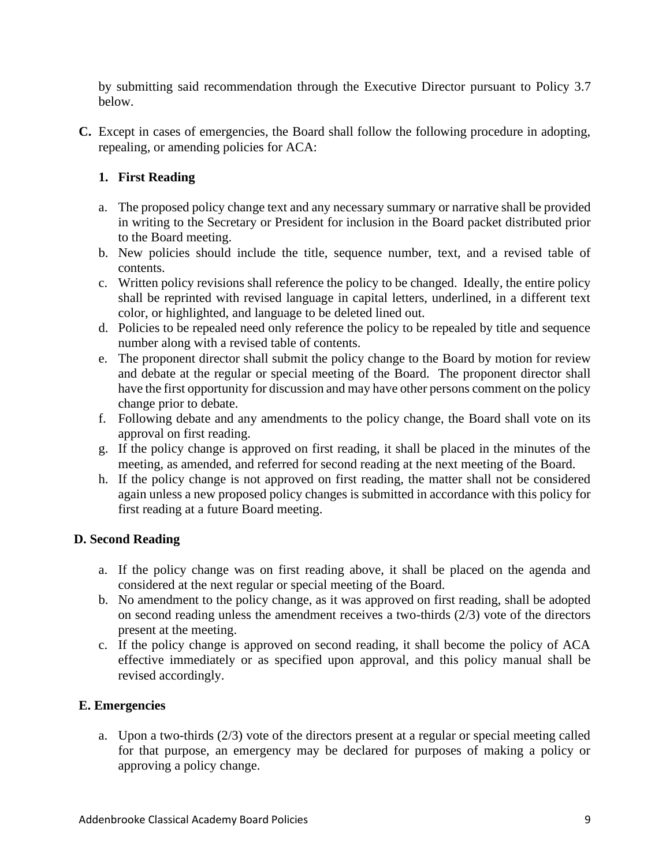by submitting said recommendation through the Executive Director pursuant to Policy 3.7 below.

**C.** Except in cases of emergencies, the Board shall follow the following procedure in adopting, repealing, or amending policies for ACA:

# **1. First Reading**

- a. The proposed policy change text and any necessary summary or narrative shall be provided in writing to the Secretary or President for inclusion in the Board packet distributed prior to the Board meeting.
- b. New policies should include the title, sequence number, text, and a revised table of contents.
- c. Written policy revisions shall reference the policy to be changed. Ideally, the entire policy shall be reprinted with revised language in capital letters, underlined, in a different text color, or highlighted, and language to be deleted lined out.
- d. Policies to be repealed need only reference the policy to be repealed by title and sequence number along with a revised table of contents.
- e. The proponent director shall submit the policy change to the Board by motion for review and debate at the regular or special meeting of the Board. The proponent director shall have the first opportunity for discussion and may have other persons comment on the policy change prior to debate.
- f. Following debate and any amendments to the policy change, the Board shall vote on its approval on first reading.
- g. If the policy change is approved on first reading, it shall be placed in the minutes of the meeting, as amended, and referred for second reading at the next meeting of the Board.
- h. If the policy change is not approved on first reading, the matter shall not be considered again unless a new proposed policy changes is submitted in accordance with this policy for first reading at a future Board meeting.

# **D. Second Reading**

- a. If the policy change was on first reading above, it shall be placed on the agenda and considered at the next regular or special meeting of the Board.
- b. No amendment to the policy change, as it was approved on first reading, shall be adopted on second reading unless the amendment receives a two-thirds (2/3) vote of the directors present at the meeting.
- c. If the policy change is approved on second reading, it shall become the policy of ACA effective immediately or as specified upon approval, and this policy manual shall be revised accordingly.

# **E. Emergencies**

a. Upon a two-thirds (2/3) vote of the directors present at a regular or special meeting called for that purpose, an emergency may be declared for purposes of making a policy or approving a policy change.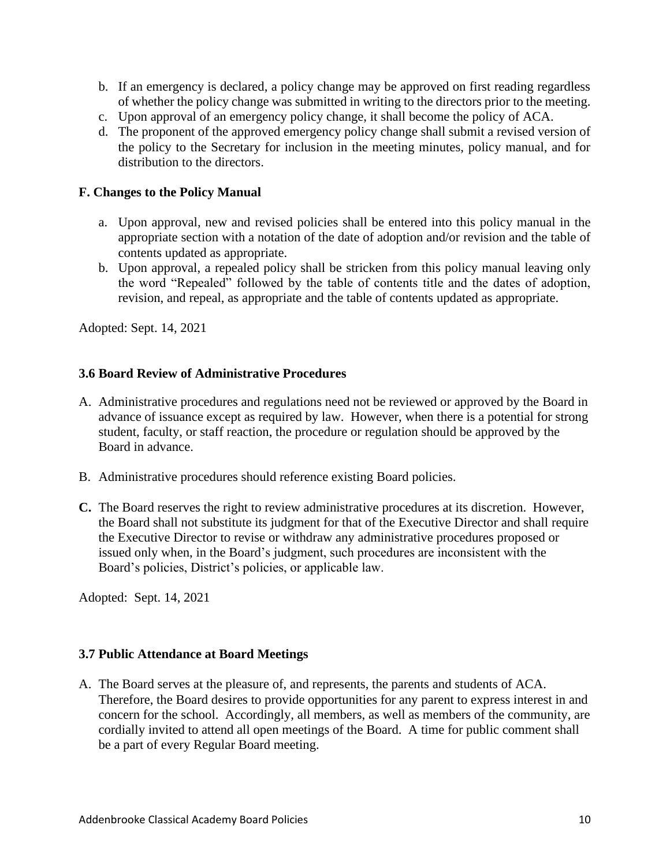- b. If an emergency is declared, a policy change may be approved on first reading regardless of whether the policy change was submitted in writing to the directors prior to the meeting.
- c. Upon approval of an emergency policy change, it shall become the policy of ACA.
- d. The proponent of the approved emergency policy change shall submit a revised version of the policy to the Secretary for inclusion in the meeting minutes, policy manual, and for distribution to the directors.

# **F. Changes to the Policy Manual**

- a. Upon approval, new and revised policies shall be entered into this policy manual in the appropriate section with a notation of the date of adoption and/or revision and the table of contents updated as appropriate.
- b. Upon approval, a repealed policy shall be stricken from this policy manual leaving only the word "Repealed" followed by the table of contents title and the dates of adoption, revision, and repeal, as appropriate and the table of contents updated as appropriate.

Adopted: Sept. 14, 2021

# **3.6 Board Review of Administrative Procedures**

- A. Administrative procedures and regulations need not be reviewed or approved by the Board in advance of issuance except as required by law. However, when there is a potential for strong student, faculty, or staff reaction, the procedure or regulation should be approved by the Board in advance.
- B. Administrative procedures should reference existing Board policies.
- **C.** The Board reserves the right to review administrative procedures at its discretion. However, the Board shall not substitute its judgment for that of the Executive Director and shall require the Executive Director to revise or withdraw any administrative procedures proposed or issued only when, in the Board's judgment, such procedures are inconsistent with the Board's policies, District's policies, or applicable law.

Adopted: Sept. 14, 2021

# **3.7 Public Attendance at Board Meetings**

A. The Board serves at the pleasure of, and represents, the parents and students of ACA. Therefore, the Board desires to provide opportunities for any parent to express interest in and concern for the school. Accordingly, all members, as well as members of the community, are cordially invited to attend all open meetings of the Board. A time for public comment shall be a part of every Regular Board meeting.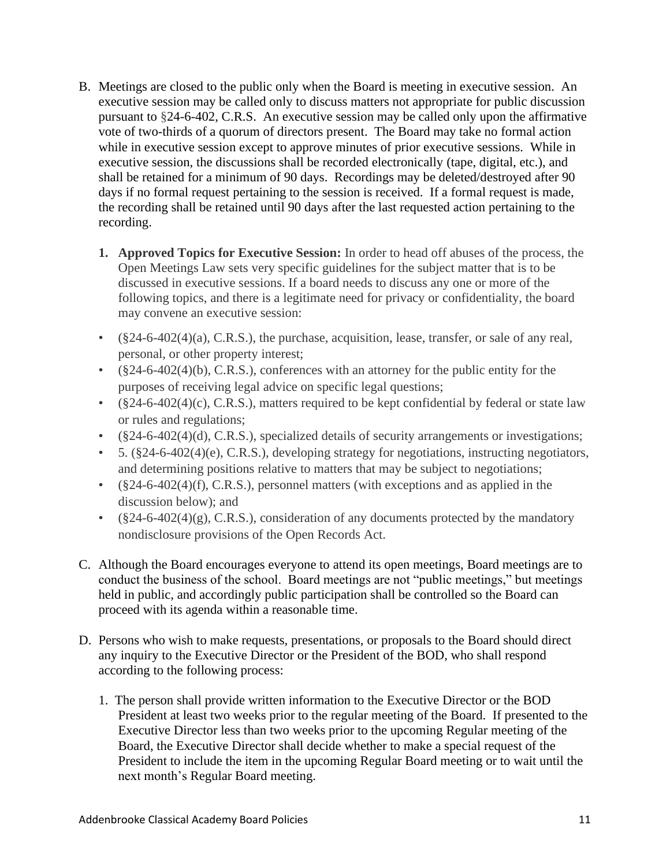- B. Meetings are closed to the public only when the Board is meeting in executive session. An executive session may be called only to discuss matters not appropriate for public discussion pursuant to §24-6-402, C.R.S. An executive session may be called only upon the affirmative vote of two-thirds of a quorum of directors present. The Board may take no formal action while in executive session except to approve minutes of prior executive sessions. While in executive session, the discussions shall be recorded electronically (tape, digital, etc.), and shall be retained for a minimum of 90 days. Recordings may be deleted/destroyed after 90 days if no formal request pertaining to the session is received. If a formal request is made, the recording shall be retained until 90 days after the last requested action pertaining to the recording.
	- **1. Approved Topics for Executive Session:** In order to head off abuses of the process, the Open Meetings Law sets very specific guidelines for the subject matter that is to be discussed in executive sessions. If a board needs to discuss any one or more of the following topics, and there is a legitimate need for privacy or confidentiality, the board may convene an executive session:
	- $\bullet$  (§24-6-402(4)(a), C.R.S.), the purchase, acquisition, lease, transfer, or sale of any real, personal, or other property interest;
	- (§24-6-402(4)(b), C.R.S.), conferences with an attorney for the public entity for the purposes of receiving legal advice on specific legal questions;
	- $(\S24-6-402(4)(c), C.R.S.)$ , matters required to be kept confidential by federal or state law or rules and regulations;
	- (§24-6-402(4)(d), C.R.S.), specialized details of security arrangements or investigations;
	- $\cdot$  5. (§24-6-402(4)(e), C.R.S.), developing strategy for negotiations, instructing negotiators, and determining positions relative to matters that may be subject to negotiations;
	- (§24-6-402(4)(f), C.R.S.), personnel matters (with exceptions and as applied in the discussion below); and
	- $(\frac{824-6-402(4)}{g})$ , C.R.S.), consideration of any documents protected by the mandatory nondisclosure provisions of the Open Records Act.
- C. Although the Board encourages everyone to attend its open meetings, Board meetings are to conduct the business of the school. Board meetings are not "public meetings," but meetings held in public, and accordingly public participation shall be controlled so the Board can proceed with its agenda within a reasonable time.
- D. Persons who wish to make requests, presentations, or proposals to the Board should direct any inquiry to the Executive Director or the President of the BOD, who shall respond according to the following process:
	- 1. The person shall provide written information to the Executive Director or the BOD President at least two weeks prior to the regular meeting of the Board. If presented to the Executive Director less than two weeks prior to the upcoming Regular meeting of the Board, the Executive Director shall decide whether to make a special request of the President to include the item in the upcoming Regular Board meeting or to wait until the next month's Regular Board meeting.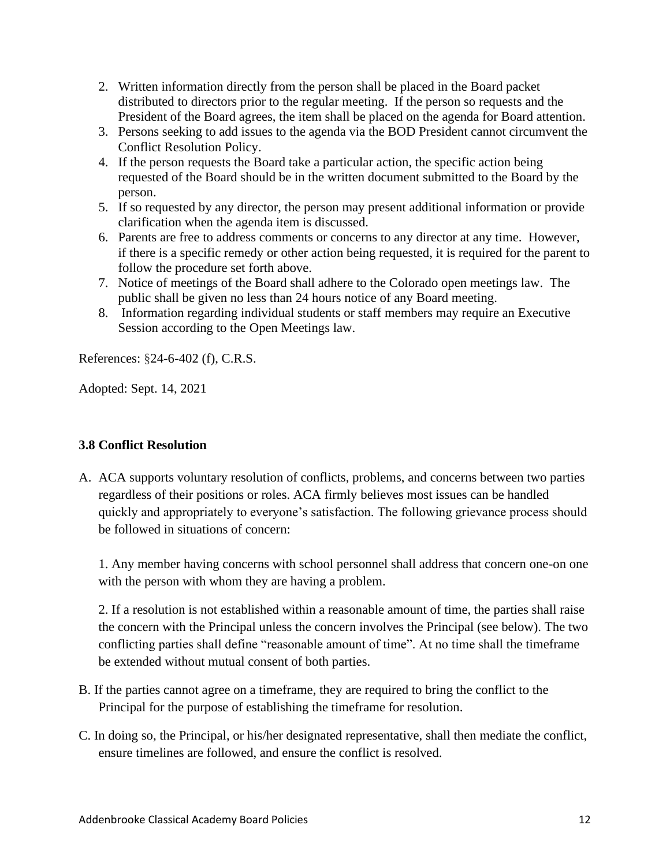- 2. Written information directly from the person shall be placed in the Board packet distributed to directors prior to the regular meeting. If the person so requests and the President of the Board agrees, the item shall be placed on the agenda for Board attention.
- 3. Persons seeking to add issues to the agenda via the BOD President cannot circumvent the Conflict Resolution Policy.
- 4. If the person requests the Board take a particular action, the specific action being requested of the Board should be in the written document submitted to the Board by the person.
- 5. If so requested by any director, the person may present additional information or provide clarification when the agenda item is discussed.
- 6. Parents are free to address comments or concerns to any director at any time. However, if there is a specific remedy or other action being requested, it is required for the parent to follow the procedure set forth above.
- 7. Notice of meetings of the Board shall adhere to the Colorado open meetings law. The public shall be given no less than 24 hours notice of any Board meeting.
- 8. Information regarding individual students or staff members may require an Executive Session according to the Open Meetings law.

References: §24-6-402 (f), C.R.S.

Adopted: Sept. 14, 2021

# **3.8 Conflict Resolution**

A. ACA supports voluntary resolution of conflicts, problems, and concerns between two parties regardless of their positions or roles. ACA firmly believes most issues can be handled quickly and appropriately to everyone's satisfaction. The following grievance process should be followed in situations of concern:

1. Any member having concerns with school personnel shall address that concern one-on one with the person with whom they are having a problem.

2. If a resolution is not established within a reasonable amount of time, the parties shall raise the concern with the Principal unless the concern involves the Principal (see below). The two conflicting parties shall define "reasonable amount of time". At no time shall the timeframe be extended without mutual consent of both parties.

- B. If the parties cannot agree on a timeframe, they are required to bring the conflict to the Principal for the purpose of establishing the timeframe for resolution.
- C. In doing so, the Principal, or his/her designated representative, shall then mediate the conflict, ensure timelines are followed, and ensure the conflict is resolved.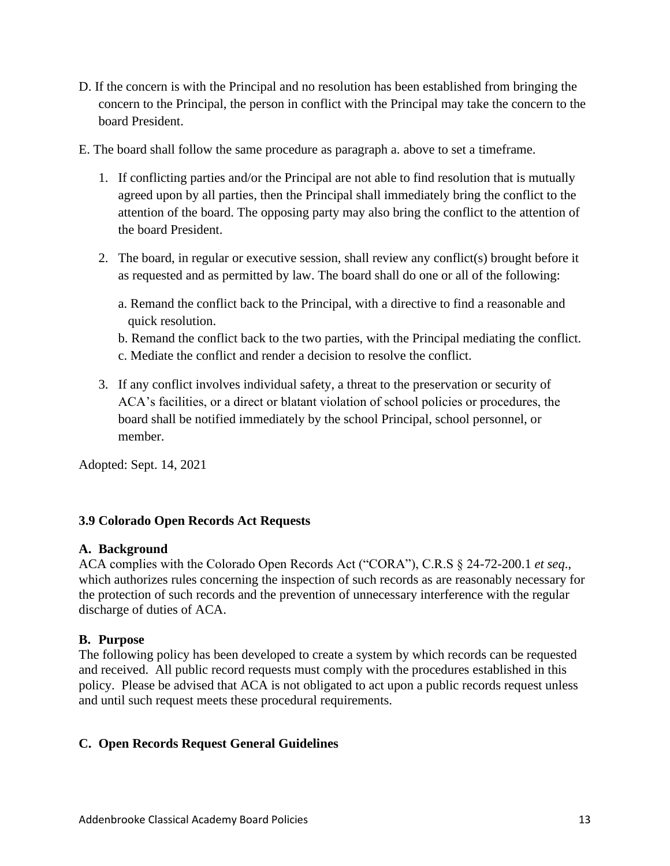- D. If the concern is with the Principal and no resolution has been established from bringing the concern to the Principal, the person in conflict with the Principal may take the concern to the board President.
- E. The board shall follow the same procedure as paragraph a. above to set a timeframe.
	- 1. If conflicting parties and/or the Principal are not able to find resolution that is mutually agreed upon by all parties, then the Principal shall immediately bring the conflict to the attention of the board. The opposing party may also bring the conflict to the attention of the board President.
	- 2. The board, in regular or executive session, shall review any conflict(s) brought before it as requested and as permitted by law. The board shall do one or all of the following:
		- a. Remand the conflict back to the Principal, with a directive to find a reasonable and quick resolution.
		- b. Remand the conflict back to the two parties, with the Principal mediating the conflict.
		- c. Mediate the conflict and render a decision to resolve the conflict.
	- 3. If any conflict involves individual safety, a threat to the preservation or security of ACA's facilities, or a direct or blatant violation of school policies or procedures, the board shall be notified immediately by the school Principal, school personnel, or member.

Adopted: Sept. 14, 2021

# **3.9 Colorado Open Records Act Requests**

# **A. Background**

ACA complies with the Colorado Open Records Act ("CORA"), C.R.S § 24-72-200.1 *et seq*., which authorizes rules concerning the inspection of such records as are reasonably necessary for the protection of such records and the prevention of unnecessary interference with the regular discharge of duties of ACA.

# **B. Purpose**

The following policy has been developed to create a system by which records can be requested and received. All public record requests must comply with the procedures established in this policy. Please be advised that ACA is not obligated to act upon a public records request unless and until such request meets these procedural requirements.

# **C. Open Records Request General Guidelines**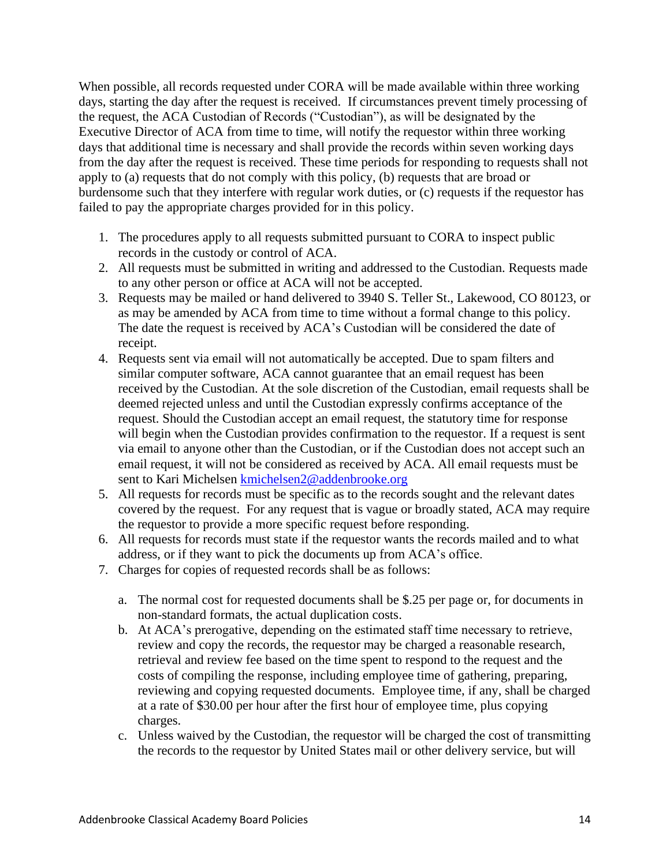When possible, all records requested under CORA will be made available within three working days, starting the day after the request is received. If circumstances prevent timely processing of the request, the ACA Custodian of Records ("Custodian"), as will be designated by the Executive Director of ACA from time to time, will notify the requestor within three working days that additional time is necessary and shall provide the records within seven working days from the day after the request is received. These time periods for responding to requests shall not apply to (a) requests that do not comply with this policy, (b) requests that are broad or burdensome such that they interfere with regular work duties, or (c) requests if the requestor has failed to pay the appropriate charges provided for in this policy.

- 1. The procedures apply to all requests submitted pursuant to CORA to inspect public records in the custody or control of ACA.
- 2. All requests must be submitted in writing and addressed to the Custodian. Requests made to any other person or office at ACA will not be accepted.
- 3. Requests may be mailed or hand delivered to 3940 S. Teller St., Lakewood, CO 80123, or as may be amended by ACA from time to time without a formal change to this policy. The date the request is received by ACA's Custodian will be considered the date of receipt.
- 4. Requests sent via email will not automatically be accepted. Due to spam filters and similar computer software, ACA cannot guarantee that an email request has been received by the Custodian. At the sole discretion of the Custodian, email requests shall be deemed rejected unless and until the Custodian expressly confirms acceptance of the request. Should the Custodian accept an email request, the statutory time for response will begin when the Custodian provides confirmation to the requestor. If a request is sent via email to anyone other than the Custodian, or if the Custodian does not accept such an email request, it will not be considered as received by ACA. All email requests must be sent to Kari Michelsen [kmichelsen2@addenbrooke.org](mailto:kmichelsen2@addenbrooke.org)
- 5. All requests for records must be specific as to the records sought and the relevant dates covered by the request. For any request that is vague or broadly stated, ACA may require the requestor to provide a more specific request before responding.
- 6. All requests for records must state if the requestor wants the records mailed and to what address, or if they want to pick the documents up from ACA's office.
- 7. Charges for copies of requested records shall be as follows:
	- a. The normal cost for requested documents shall be \$.25 per page or, for documents in non-standard formats, the actual duplication costs.
	- b. At ACA's prerogative, depending on the estimated staff time necessary to retrieve, review and copy the records, the requestor may be charged a reasonable research, retrieval and review fee based on the time spent to respond to the request and the costs of compiling the response, including employee time of gathering, preparing, reviewing and copying requested documents. Employee time, if any, shall be charged at a rate of \$30.00 per hour after the first hour of employee time, plus copying charges.
	- c. Unless waived by the Custodian, the requestor will be charged the cost of transmitting the records to the requestor by United States mail or other delivery service, but will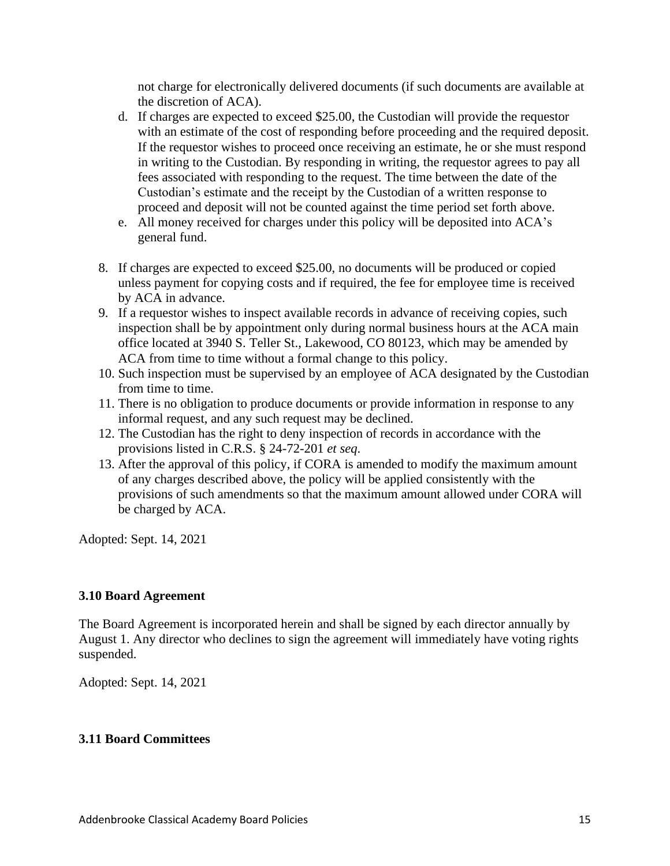not charge for electronically delivered documents (if such documents are available at the discretion of ACA).

- d. If charges are expected to exceed \$25.00, the Custodian will provide the requestor with an estimate of the cost of responding before proceeding and the required deposit. If the requestor wishes to proceed once receiving an estimate, he or she must respond in writing to the Custodian. By responding in writing, the requestor agrees to pay all fees associated with responding to the request. The time between the date of the Custodian's estimate and the receipt by the Custodian of a written response to proceed and deposit will not be counted against the time period set forth above.
- e. All money received for charges under this policy will be deposited into ACA's general fund.
- 8. If charges are expected to exceed \$25.00, no documents will be produced or copied unless payment for copying costs and if required, the fee for employee time is received by ACA in advance.
- 9. If a requestor wishes to inspect available records in advance of receiving copies, such inspection shall be by appointment only during normal business hours at the ACA main office located at 3940 S. Teller St., Lakewood, CO 80123, which may be amended by ACA from time to time without a formal change to this policy.
- 10. Such inspection must be supervised by an employee of ACA designated by the Custodian from time to time.
- 11. There is no obligation to produce documents or provide information in response to any informal request, and any such request may be declined.
- 12. The Custodian has the right to deny inspection of records in accordance with the provisions listed in C.R.S. § 24-72-201 *et seq*.
- 13. After the approval of this policy, if CORA is amended to modify the maximum amount of any charges described above, the policy will be applied consistently with the provisions of such amendments so that the maximum amount allowed under CORA will be charged by ACA.

Adopted: Sept. 14, 2021

# **3.10 Board Agreement**

The Board Agreement is incorporated herein and shall be signed by each director annually by August 1. Any director who declines to sign the agreement will immediately have voting rights suspended.

Adopted: Sept. 14, 2021

# **3.11 Board Committees**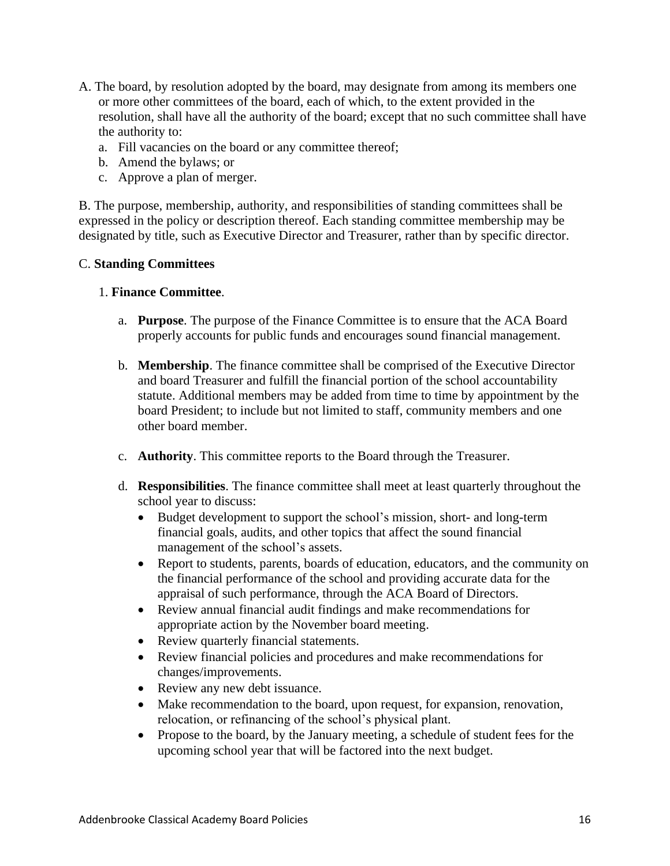- A. The board, by resolution adopted by the board, may designate from among its members one or more other committees of the board, each of which, to the extent provided in the resolution, shall have all the authority of the board; except that no such committee shall have the authority to:
	- a. Fill vacancies on the board or any committee thereof;
	- b. Amend the bylaws; or
	- c. Approve a plan of merger.

B. The purpose, membership, authority, and responsibilities of standing committees shall be expressed in the policy or description thereof. Each standing committee membership may be designated by title, such as Executive Director and Treasurer, rather than by specific director.

# C. **Standing Committees**

#### 1. **Finance Committee**.

- a. **Purpose**. The purpose of the Finance Committee is to ensure that the ACA Board properly accounts for public funds and encourages sound financial management.
- b. **Membership**. The finance committee shall be comprised of the Executive Director and board Treasurer and fulfill the financial portion of the school accountability statute. Additional members may be added from time to time by appointment by the board President; to include but not limited to staff, community members and one other board member.
- c. **Authority**. This committee reports to the Board through the Treasurer.
- d. **Responsibilities**. The finance committee shall meet at least quarterly throughout the school year to discuss:
	- Budget development to support the school's mission, short- and long-term financial goals, audits, and other topics that affect the sound financial management of the school's assets.
	- Report to students, parents, boards of education, educators, and the community on the financial performance of the school and providing accurate data for the appraisal of such performance, through the ACA Board of Directors.
	- Review annual financial audit findings and make recommendations for appropriate action by the November board meeting.
	- Review quarterly financial statements.
	- Review financial policies and procedures and make recommendations for changes/improvements.
	- Review any new debt issuance.
	- Make recommendation to the board, upon request, for expansion, renovation, relocation, or refinancing of the school's physical plant.
	- Propose to the board, by the January meeting, a schedule of student fees for the upcoming school year that will be factored into the next budget.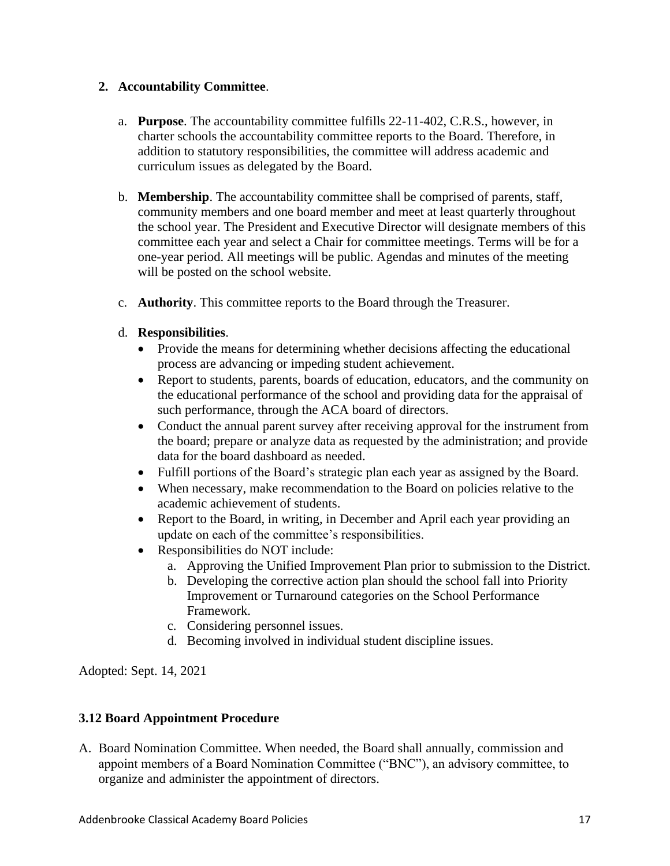# **2. Accountability Committee**.

- a. **Purpose**. The accountability committee fulfills 22-11-402, C.R.S., however, in charter schools the accountability committee reports to the Board. Therefore, in addition to statutory responsibilities, the committee will address academic and curriculum issues as delegated by the Board.
- b. **Membership**. The accountability committee shall be comprised of parents, staff, community members and one board member and meet at least quarterly throughout the school year. The President and Executive Director will designate members of this committee each year and select a Chair for committee meetings. Terms will be for a one-year period. All meetings will be public. Agendas and minutes of the meeting will be posted on the school website.
- c. **Authority**. This committee reports to the Board through the Treasurer.
- d. **Responsibilities**.
	- Provide the means for determining whether decisions affecting the educational process are advancing or impeding student achievement.
	- Report to students, parents, boards of education, educators, and the community on the educational performance of the school and providing data for the appraisal of such performance, through the ACA board of directors.
	- Conduct the annual parent survey after receiving approval for the instrument from the board; prepare or analyze data as requested by the administration; and provide data for the board dashboard as needed.
	- Fulfill portions of the Board's strategic plan each year as assigned by the Board.
	- When necessary, make recommendation to the Board on policies relative to the academic achievement of students.
	- Report to the Board, in writing, in December and April each year providing an update on each of the committee's responsibilities.
	- Responsibilities do NOT include:
		- a. Approving the Unified Improvement Plan prior to submission to the District.
		- b. Developing the corrective action plan should the school fall into Priority Improvement or Turnaround categories on the School Performance Framework.
		- c. Considering personnel issues.
		- d. Becoming involved in individual student discipline issues.

Adopted: Sept. 14, 2021

# **3.12 Board Appointment Procedure**

A. Board Nomination Committee. When needed, the Board shall annually, commission and appoint members of a Board Nomination Committee ("BNC"), an advisory committee, to organize and administer the appointment of directors.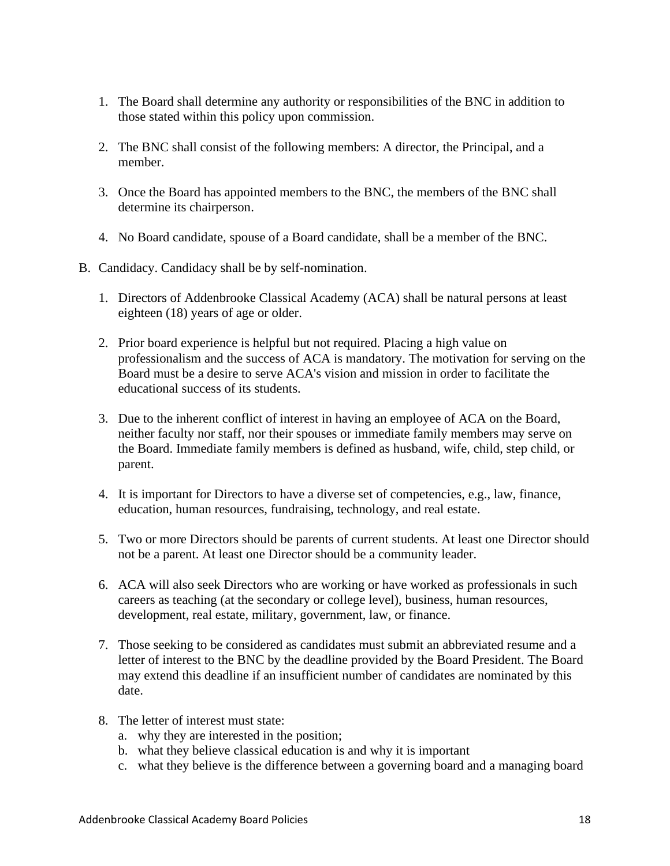- 1. The Board shall determine any authority or responsibilities of the BNC in addition to those stated within this policy upon commission.
- 2. The BNC shall consist of the following members: A director, the Principal, and a member.
- 3. Once the Board has appointed members to the BNC, the members of the BNC shall determine its chairperson.
- 4. No Board candidate, spouse of a Board candidate, shall be a member of the BNC.
- B. Candidacy. Candidacy shall be by self-nomination.
	- 1. Directors of Addenbrooke Classical Academy (ACA) shall be natural persons at least eighteen (18) years of age or older.
	- 2. Prior board experience is helpful but not required. Placing a high value on professionalism and the success of ACA is mandatory. The motivation for serving on the Board must be a desire to serve ACA's vision and mission in order to facilitate the educational success of its students.
	- 3. Due to the inherent conflict of interest in having an employee of ACA on the Board, neither faculty nor staff, nor their spouses or immediate family members may serve on the Board. Immediate family members is defined as husband, wife, child, step child, or parent.
	- 4. It is important for Directors to have a diverse set of competencies, e.g., law, finance, education, human resources, fundraising, technology, and real estate.
	- 5. Two or more Directors should be parents of current students. At least one Director should not be a parent. At least one Director should be a community leader.
	- 6. ACA will also seek Directors who are working or have worked as professionals in such careers as teaching (at the secondary or college level), business, human resources, development, real estate, military, government, law, or finance.
	- 7. Those seeking to be considered as candidates must submit an abbreviated resume and a letter of interest to the BNC by the deadline provided by the Board President. The Board may extend this deadline if an insufficient number of candidates are nominated by this date.
	- 8. The letter of interest must state:
		- a. why they are interested in the position;
		- b. what they believe classical education is and why it is important
		- c. what they believe is the difference between a governing board and a managing board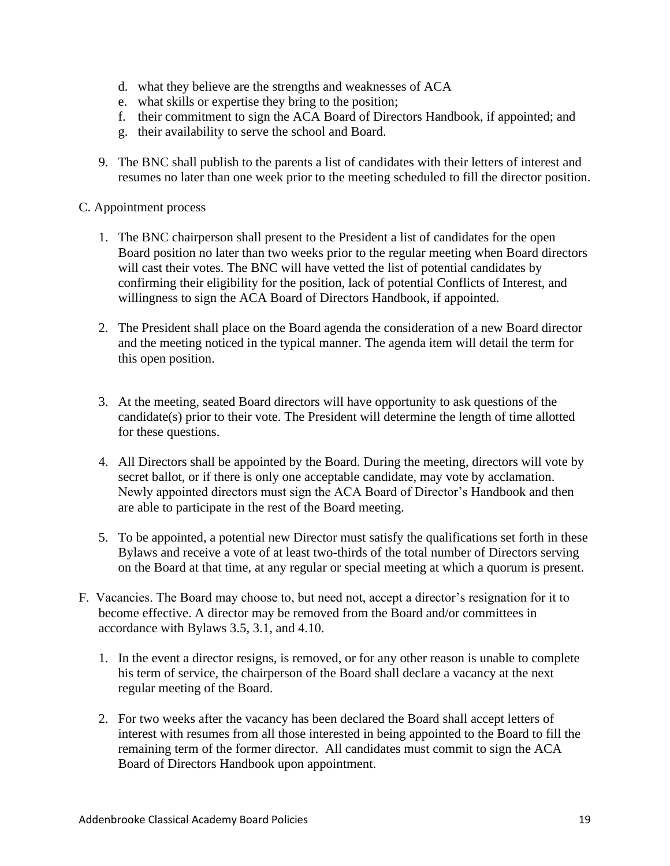- d. what they believe are the strengths and weaknesses of ACA
- e. what skills or expertise they bring to the position;
- f. their commitment to sign the ACA Board of Directors Handbook, if appointed; and
- g. their availability to serve the school and Board.
- 9. The BNC shall publish to the parents a list of candidates with their letters of interest and resumes no later than one week prior to the meeting scheduled to fill the director position.

# C. Appointment process

- 1. The BNC chairperson shall present to the President a list of candidates for the open Board position no later than two weeks prior to the regular meeting when Board directors will cast their votes. The BNC will have vetted the list of potential candidates by confirming their eligibility for the position, lack of potential Conflicts of Interest, and willingness to sign the ACA Board of Directors Handbook, if appointed.
- 2. The President shall place on the Board agenda the consideration of a new Board director and the meeting noticed in the typical manner. The agenda item will detail the term for this open position.
- 3. At the meeting, seated Board directors will have opportunity to ask questions of the candidate(s) prior to their vote. The President will determine the length of time allotted for these questions.
- 4. All Directors shall be appointed by the Board. During the meeting, directors will vote by secret ballot, or if there is only one acceptable candidate, may vote by acclamation. Newly appointed directors must sign the ACA Board of Director's Handbook and then are able to participate in the rest of the Board meeting.
- 5. To be appointed, a potential new Director must satisfy the qualifications set forth in these Bylaws and receive a vote of at least two-thirds of the total number of Directors serving on the Board at that time, at any regular or special meeting at which a quorum is present.
- F. Vacancies. The Board may choose to, but need not, accept a director's resignation for it to become effective. A director may be removed from the Board and/or committees in accordance with Bylaws 3.5, 3.1, and 4.10.
	- 1. In the event a director resigns, is removed, or for any other reason is unable to complete his term of service, the chairperson of the Board shall declare a vacancy at the next regular meeting of the Board.
	- 2. For two weeks after the vacancy has been declared the Board shall accept letters of interest with resumes from all those interested in being appointed to the Board to fill the remaining term of the former director. All candidates must commit to sign the ACA Board of Directors Handbook upon appointment.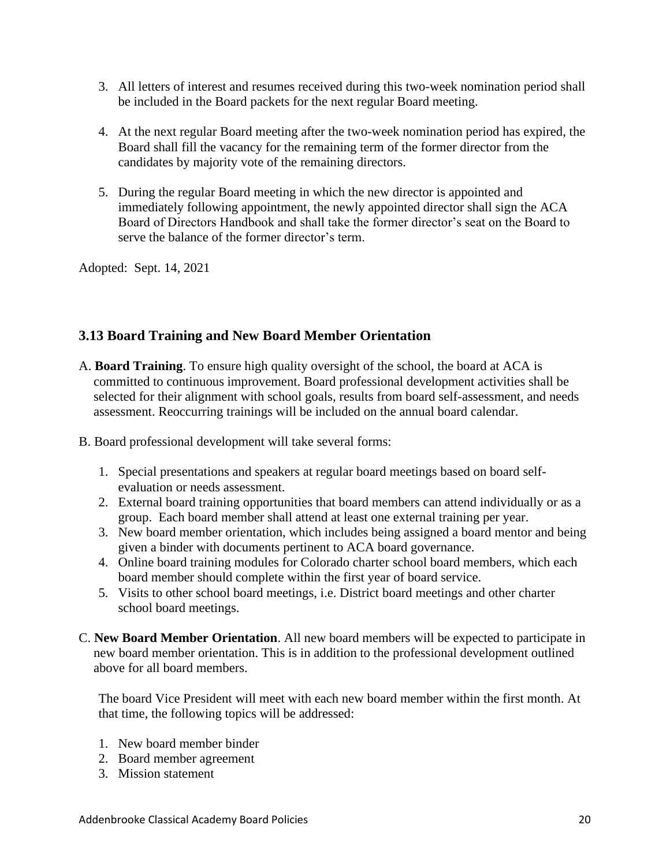- 3. All letters of interest and resumes received during this two-week nomination period shall be included in the Board packets for the next regular Board meeting.
- 4. At the next regular Board meeting after the two-week nomination period has expired, the Board shall fill the vacancy for the remaining term of the former director from the candidates by majority vote of the remaining directors.
- 5. During the regular Board meeting in which the new director is appointed and immediately following appointment, the newly appointed director shall sign the ACA Board of Directors Handbook and shall take the former director's seat on the Board to serve the balance of the former director's term.

Adopted: Sept. 14, 2021

# **3.13 Board Training and New Board Member Orientation**

- A. **Board Training**. To ensure high quality oversight of the school, the board at ACA is committed to continuous improvement. Board professional development activities shall be selected for their alignment with school goals, results from board self-assessment, and needs assessment. Reoccurring trainings will be included on the annual board calendar.
- B. Board professional development will take several forms:
	- 1. Special presentations and speakers at regular board meetings based on board selfevaluation or needs assessment.
	- 2. External board training opportunities that board members can attend individually or as a group. Each board member shall attend at least one external training per year.
	- 3. New board member orientation, which includes being assigned a board mentor and being given a binder with documents pertinent to ACA board governance.
	- 4. Online board training modules for Colorado charter school board members, which each board member should complete within the first year of board service.
	- 5. Visits to other school board meetings, i.e. District board meetings and other charter school board meetings.
- C. **New Board Member Orientation**. All new board members will be expected to participate in new board member orientation. This is in addition to the professional development outlined above for all board members.

The board Vice President will meet with each new board member within the first month. At that time, the following topics will be addressed:

- 1. New board member binder
- 2. Board member agreement
- 3. Mission statement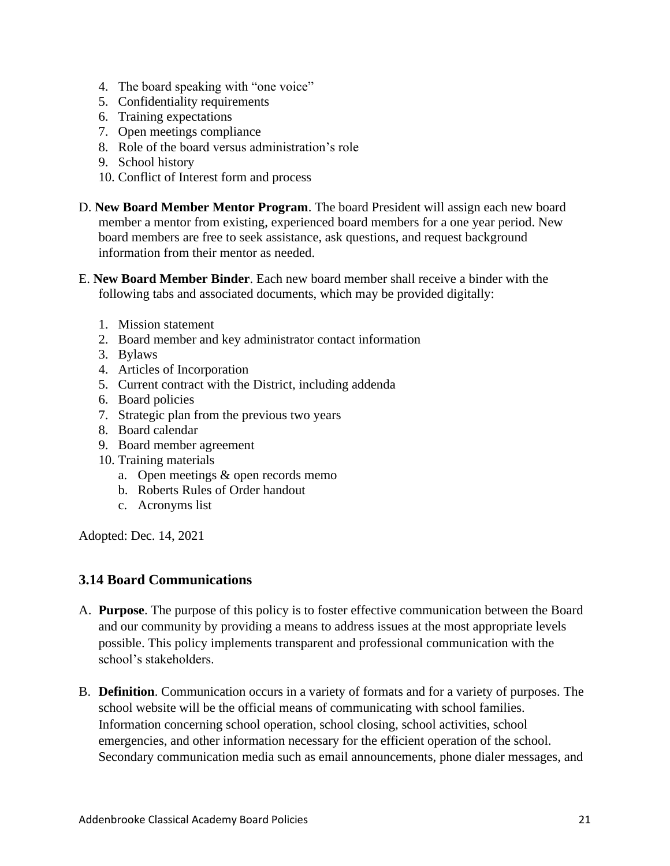- 4. The board speaking with "one voice"
- 5. Confidentiality requirements
- 6. Training expectations
- 7. Open meetings compliance
- 8. Role of the board versus administration's role
- 9. School history
- 10. Conflict of Interest form and process
- D. **New Board Member Mentor Program**. The board President will assign each new board member a mentor from existing, experienced board members for a one year period. New board members are free to seek assistance, ask questions, and request background information from their mentor as needed.
- E. **New Board Member Binder**. Each new board member shall receive a binder with the following tabs and associated documents, which may be provided digitally:
	- 1. Mission statement
	- 2. Board member and key administrator contact information
	- 3. Bylaws
	- 4. Articles of Incorporation
	- 5. Current contract with the District, including addenda
	- 6. Board policies
	- 7. Strategic plan from the previous two years
	- 8. Board calendar
	- 9. Board member agreement
	- 10. Training materials
		- a. Open meetings & open records memo
		- b. Roberts Rules of Order handout
		- c. Acronyms list

Adopted: Dec. 14, 2021

# **3.14 Board Communications**

- A. **Purpose**. The purpose of this policy is to foster effective communication between the Board and our community by providing a means to address issues at the most appropriate levels possible. This policy implements transparent and professional communication with the school's stakeholders.
- B. **Definition**. Communication occurs in a variety of formats and for a variety of purposes. The school website will be the official means of communicating with school families. Information concerning school operation, school closing, school activities, school emergencies, and other information necessary for the efficient operation of the school. Secondary communication media such as email announcements, phone dialer messages, and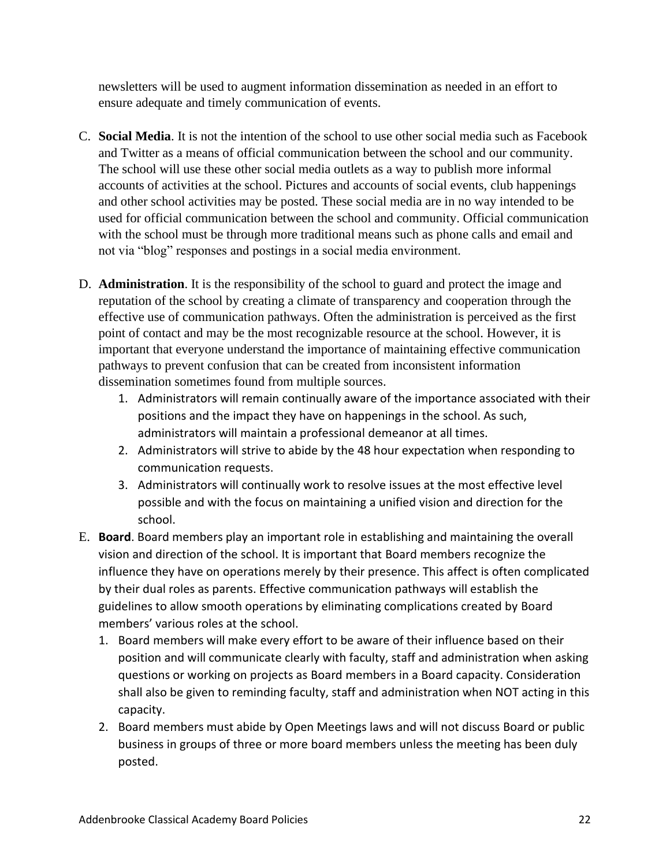newsletters will be used to augment information dissemination as needed in an effort to ensure adequate and timely communication of events.

- C. **Social Media**. It is not the intention of the school to use other social media such as Facebook and Twitter as a means of official communication between the school and our community. The school will use these other social media outlets as a way to publish more informal accounts of activities at the school. Pictures and accounts of social events, club happenings and other school activities may be posted. These social media are in no way intended to be used for official communication between the school and community. Official communication with the school must be through more traditional means such as phone calls and email and not via "blog" responses and postings in a social media environment.
- D. **Administration**. It is the responsibility of the school to guard and protect the image and reputation of the school by creating a climate of transparency and cooperation through the effective use of communication pathways. Often the administration is perceived as the first point of contact and may be the most recognizable resource at the school. However, it is important that everyone understand the importance of maintaining effective communication pathways to prevent confusion that can be created from inconsistent information dissemination sometimes found from multiple sources.
	- 1. Administrators will remain continually aware of the importance associated with their positions and the impact they have on happenings in the school. As such, administrators will maintain a professional demeanor at all times.
	- 2. Administrators will strive to abide by the 48 hour expectation when responding to communication requests.
	- 3. Administrators will continually work to resolve issues at the most effective level possible and with the focus on maintaining a unified vision and direction for the school.
- E. **Board**. Board members play an important role in establishing and maintaining the overall vision and direction of the school. It is important that Board members recognize the influence they have on operations merely by their presence. This affect is often complicated by their dual roles as parents. Effective communication pathways will establish the guidelines to allow smooth operations by eliminating complications created by Board members' various roles at the school.
	- 1. Board members will make every effort to be aware of their influence based on their position and will communicate clearly with faculty, staff and administration when asking questions or working on projects as Board members in a Board capacity. Consideration shall also be given to reminding faculty, staff and administration when NOT acting in this capacity.
	- 2. Board members must abide by Open Meetings laws and will not discuss Board or public business in groups of three or more board members unless the meeting has been duly posted.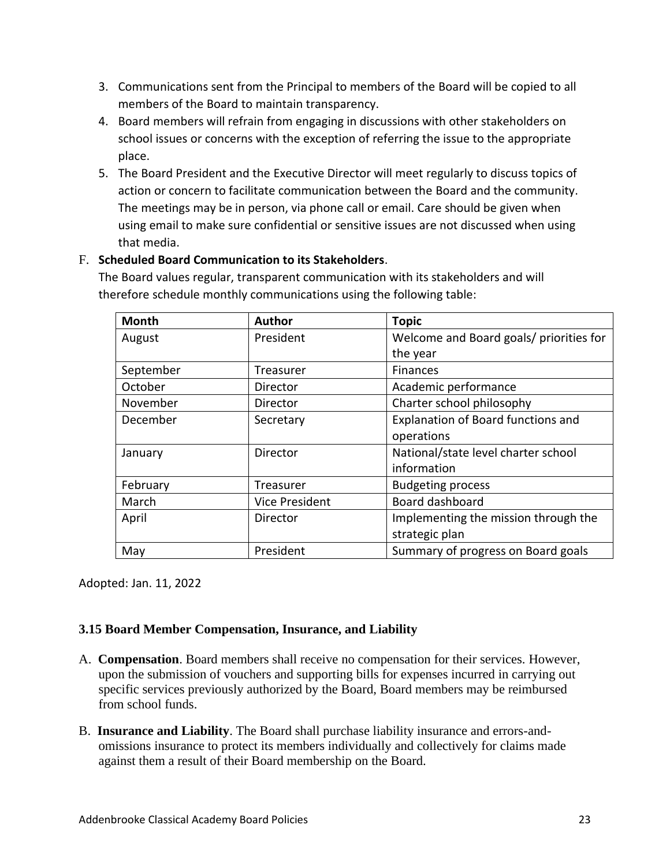- 3. Communications sent from the Principal to members of the Board will be copied to all members of the Board to maintain transparency.
- 4. Board members will refrain from engaging in discussions with other stakeholders on school issues or concerns with the exception of referring the issue to the appropriate place.
- 5. The Board President and the Executive Director will meet regularly to discuss topics of action or concern to facilitate communication between the Board and the community. The meetings may be in person, via phone call or email. Care should be given when using email to make sure confidential or sensitive issues are not discussed when using that media.

# F. **Scheduled Board Communication to its Stakeholders**.

The Board values regular, transparent communication with its stakeholders and will therefore schedule monthly communications using the following table:

| <b>Month</b> | <b>Author</b>         | <b>Topic</b>                              |
|--------------|-----------------------|-------------------------------------------|
| August       | President             | Welcome and Board goals/ priorities for   |
|              |                       | the year                                  |
| September    | Treasurer             | Finances                                  |
| October      | Director              | Academic performance                      |
| November     | Director              | Charter school philosophy                 |
| December     | Secretary             | <b>Explanation of Board functions and</b> |
|              |                       | operations                                |
| January      | Director              | National/state level charter school       |
|              |                       | information                               |
| February     | <b>Treasurer</b>      | <b>Budgeting process</b>                  |
| March        | <b>Vice President</b> | Board dashboard                           |
| April        | Director              | Implementing the mission through the      |
|              |                       | strategic plan                            |
| May          | President             | Summary of progress on Board goals        |

Adopted: Jan. 11, 2022

# **3.15 Board Member Compensation, Insurance, and Liability**

- A. **Compensation**. Board members shall receive no compensation for their services. However, upon the submission of vouchers and supporting bills for expenses incurred in carrying out specific services previously authorized by the Board, Board members may be reimbursed from school funds.
- B. **Insurance and Liability**. The Board shall purchase liability insurance and errors-andomissions insurance to protect its members individually and collectively for claims made against them a result of their Board membership on the Board.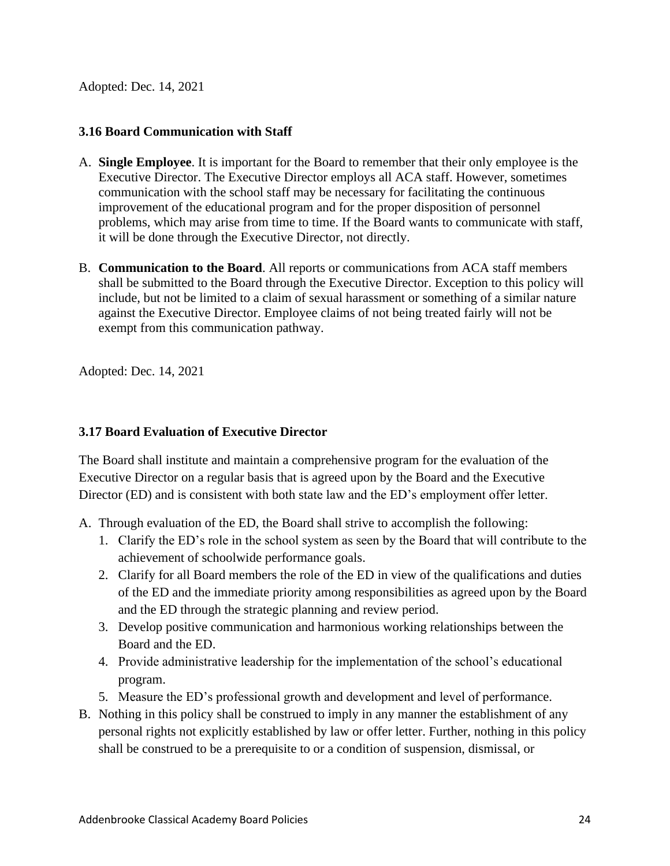Adopted: Dec. 14, 2021

# **3.16 Board Communication with Staff**

- A. **Single Employee**. It is important for the Board to remember that their only employee is the Executive Director. The Executive Director employs all ACA staff. However, sometimes communication with the school staff may be necessary for facilitating the continuous improvement of the educational program and for the proper disposition of personnel problems, which may arise from time to time. If the Board wants to communicate with staff, it will be done through the Executive Director, not directly.
- B. **Communication to the Board**. All reports or communications from ACA staff members shall be submitted to the Board through the Executive Director. Exception to this policy will include, but not be limited to a claim of sexual harassment or something of a similar nature against the Executive Director. Employee claims of not being treated fairly will not be exempt from this communication pathway.

Adopted: Dec. 14, 2021

# **3.17 Board Evaluation of Executive Director**

The Board shall institute and maintain a comprehensive program for the evaluation of the Executive Director on a regular basis that is agreed upon by the Board and the Executive Director (ED) and is consistent with both state law and the ED's employment offer letter.

- A. Through evaluation of the ED, the Board shall strive to accomplish the following:
	- 1. Clarify the ED's role in the school system as seen by the Board that will contribute to the achievement of schoolwide performance goals.
	- 2. Clarify for all Board members the role of the ED in view of the qualifications and duties of the ED and the immediate priority among responsibilities as agreed upon by the Board and the ED through the strategic planning and review period.
	- 3. Develop positive communication and harmonious working relationships between the Board and the ED.
	- 4. Provide administrative leadership for the implementation of the school's educational program.
	- 5. Measure the ED's professional growth and development and level of performance.
- B. Nothing in this policy shall be construed to imply in any manner the establishment of any personal rights not explicitly established by law or offer letter. Further, nothing in this policy shall be construed to be a prerequisite to or a condition of suspension, dismissal, or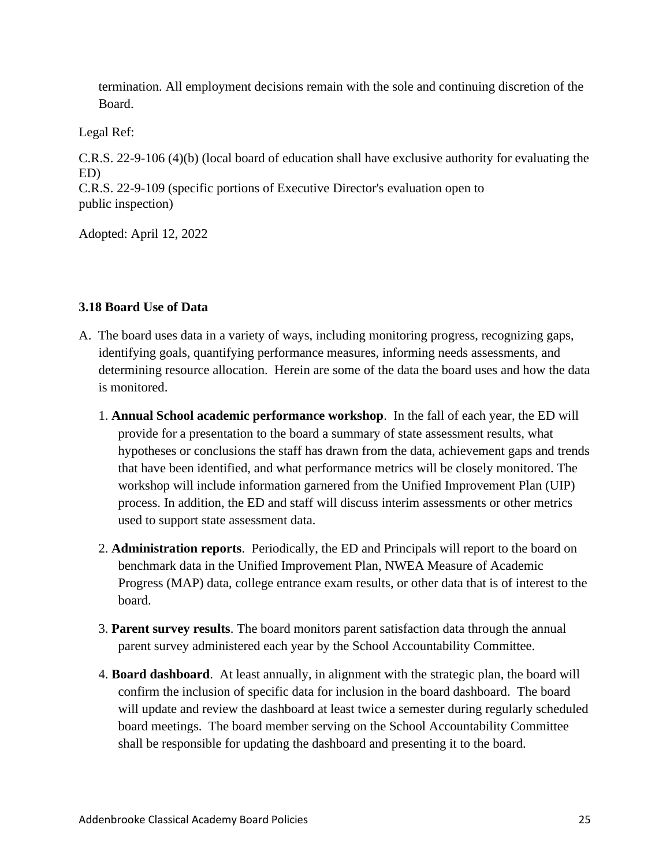termination. All employment decisions remain with the sole and continuing discretion of the Board.

Legal Ref:

C.R.S. 22-9-106 (4)(b) (local board of education shall have exclusive authority for evaluating the ED)

C.R.S. 22-9-109 (specific portions of Executive Director's evaluation open to public inspection)

Adopted: April 12, 2022

# **3.18 Board Use of Data**

- A. The board uses data in a variety of ways, including monitoring progress, recognizing gaps, identifying goals, quantifying performance measures, informing needs assessments, and determining resource allocation. Herein are some of the data the board uses and how the data is monitored.
	- 1. **Annual School academic performance workshop**. In the fall of each year, the ED will provide for a presentation to the board a summary of state assessment results, what hypotheses or conclusions the staff has drawn from the data, achievement gaps and trends that have been identified, and what performance metrics will be closely monitored. The workshop will include information garnered from the Unified Improvement Plan (UIP) process. In addition, the ED and staff will discuss interim assessments or other metrics used to support state assessment data.
	- 2. **Administration reports**. Periodically, the ED and Principals will report to the board on benchmark data in the Unified Improvement Plan, NWEA Measure of Academic Progress (MAP) data, college entrance exam results, or other data that is of interest to the board.
	- 3. **Parent survey results**. The board monitors parent satisfaction data through the annual parent survey administered each year by the School Accountability Committee.
	- 4. **Board dashboard**. At least annually, in alignment with the strategic plan, the board will confirm the inclusion of specific data for inclusion in the board dashboard. The board will update and review the dashboard at least twice a semester during regularly scheduled board meetings. The board member serving on the School Accountability Committee shall be responsible for updating the dashboard and presenting it to the board.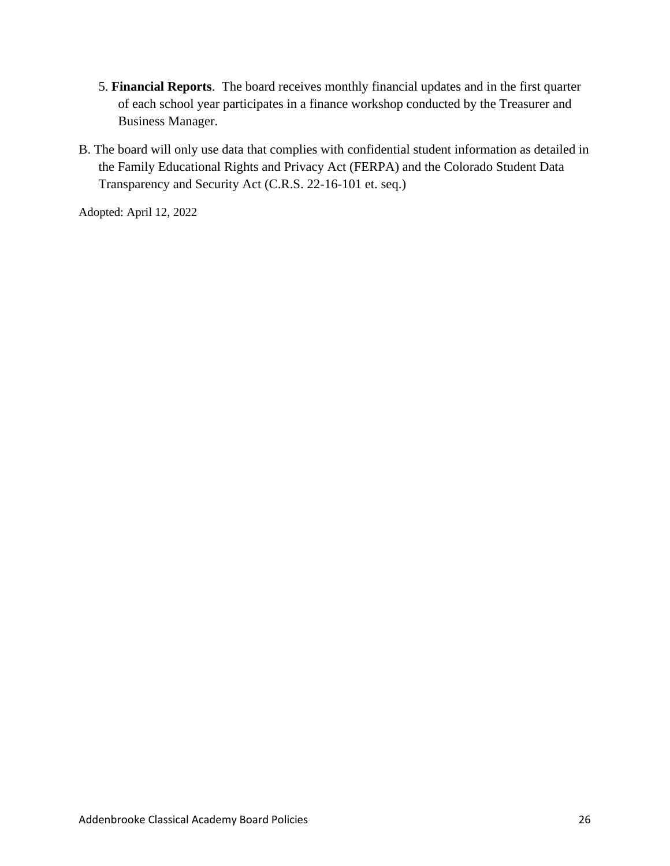- 5. **Financial Reports**. The board receives monthly financial updates and in the first quarter of each school year participates in a finance workshop conducted by the Treasurer and Business Manager.
- B. The board will only use data that complies with confidential student information as detailed in the Family Educational Rights and Privacy Act (FERPA) and the Colorado Student Data Transparency and Security Act (C.R.S. 22-16-101 et. seq.)

Adopted: April 12, 2022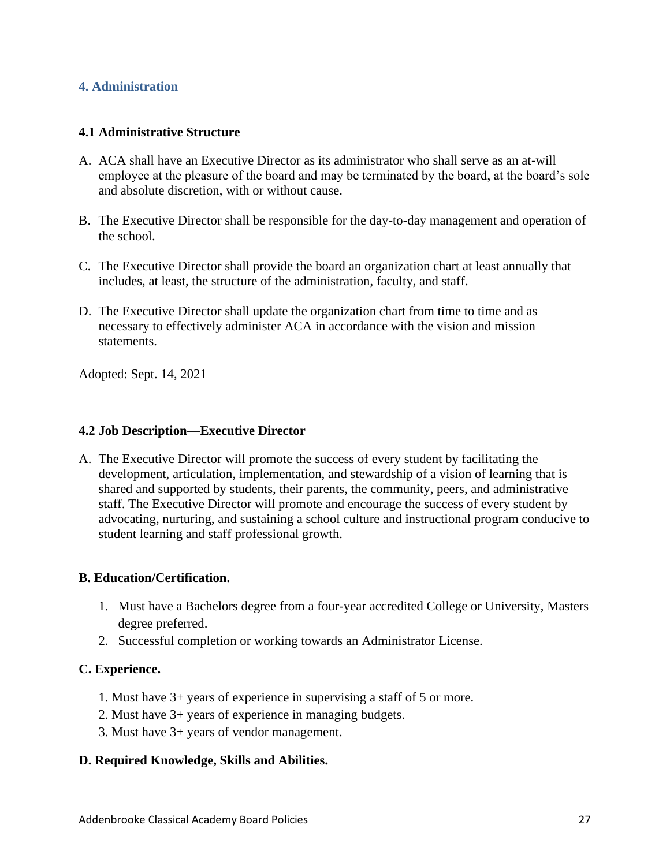# **4. Administration**

# **4.1 Administrative Structure**

- A. ACA shall have an Executive Director as its administrator who shall serve as an at-will employee at the pleasure of the board and may be terminated by the board, at the board's sole and absolute discretion, with or without cause.
- B. The Executive Director shall be responsible for the day-to-day management and operation of the school.
- C. The Executive Director shall provide the board an organization chart at least annually that includes, at least, the structure of the administration, faculty, and staff.
- D. The Executive Director shall update the organization chart from time to time and as necessary to effectively administer ACA in accordance with the vision and mission statements.

Adopted: Sept. 14, 2021

# **4.2 Job Description—Executive Director**

A. The Executive Director will promote the success of every student by facilitating the development, articulation, implementation, and stewardship of a vision of learning that is shared and supported by students, their parents, the community, peers, and administrative staff. The Executive Director will promote and encourage the success of every student by advocating, nurturing, and sustaining a school culture and instructional program conducive to student learning and staff professional growth.

# **B. Education/Certification.**

- 1. Must have a Bachelors degree from a four-year accredited College or University, Masters degree preferred.
- 2. Successful completion or working towards an Administrator License.

#### **C. Experience.**

- 1. Must have 3+ years of experience in supervising a staff of 5 or more.
- 2. Must have 3+ years of experience in managing budgets.
- 3. Must have 3+ years of vendor management.

#### **D. Required Knowledge, Skills and Abilities.**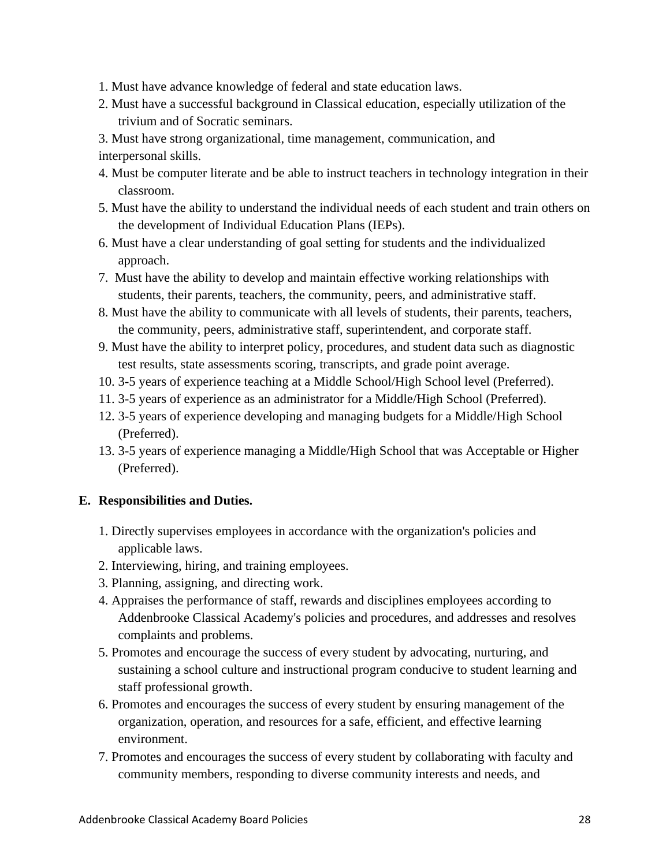- 1. Must have advance knowledge of federal and state education laws.
- 2. Must have a successful background in Classical education, especially utilization of the trivium and of Socratic seminars.
- 3. Must have strong organizational, time management, communication, and

interpersonal skills.

- 4. Must be computer literate and be able to instruct teachers in technology integration in their classroom.
- 5. Must have the ability to understand the individual needs of each student and train others on the development of Individual Education Plans (IEPs).
- 6. Must have a clear understanding of goal setting for students and the individualized approach.
- 7. Must have the ability to develop and maintain effective working relationships with students, their parents, teachers, the community, peers, and administrative staff.
- 8. Must have the ability to communicate with all levels of students, their parents, teachers, the community, peers, administrative staff, superintendent, and corporate staff.
- 9. Must have the ability to interpret policy, procedures, and student data such as diagnostic test results, state assessments scoring, transcripts, and grade point average.
- 10. 3-5 years of experience teaching at a Middle School/High School level (Preferred).
- 11. 3-5 years of experience as an administrator for a Middle/High School (Preferred).
- 12. 3-5 years of experience developing and managing budgets for a Middle/High School (Preferred).
- 13. 3-5 years of experience managing a Middle/High School that was Acceptable or Higher (Preferred).

# **E. Responsibilities and Duties.**

- 1. Directly supervises employees in accordance with the organization's policies and applicable laws.
- 2. Interviewing, hiring, and training employees.
- 3. Planning, assigning, and directing work.
- 4. Appraises the performance of staff, rewards and disciplines employees according to Addenbrooke Classical Academy's policies and procedures, and addresses and resolves complaints and problems.
- 5. Promotes and encourage the success of every student by advocating, nurturing, and sustaining a school culture and instructional program conducive to student learning and staff professional growth.
- 6. Promotes and encourages the success of every student by ensuring management of the organization, operation, and resources for a safe, efficient, and effective learning environment.
- 7. Promotes and encourages the success of every student by collaborating with faculty and community members, responding to diverse community interests and needs, and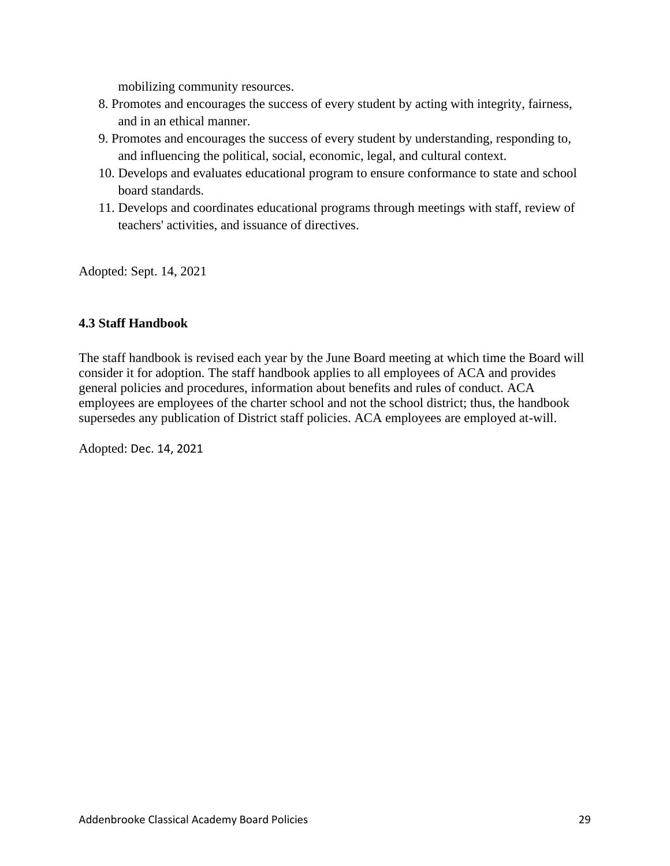mobilizing community resources.

- 8. Promotes and encourages the success of every student by acting with integrity, fairness, and in an ethical manner.
- 9. Promotes and encourages the success of every student by understanding, responding to, and influencing the political, social, economic, legal, and cultural context.
- 10. Develops and evaluates educational program to ensure conformance to state and school board standards.
- 11. Develops and coordinates educational programs through meetings with staff, review of teachers' activities, and issuance of directives.

Adopted: Sept. 14, 2021

# **4.3 Staff Handbook**

The staff handbook is revised each year by the June Board meeting at which time the Board will consider it for adoption. The staff handbook applies to all employees of ACA and provides general policies and procedures, information about benefits and rules of conduct. ACA employees are employees of the charter school and not the school district; thus, the handbook supersedes any publication of District staff policies. ACA employees are employed at-will.

Adopted: Dec. 14, 2021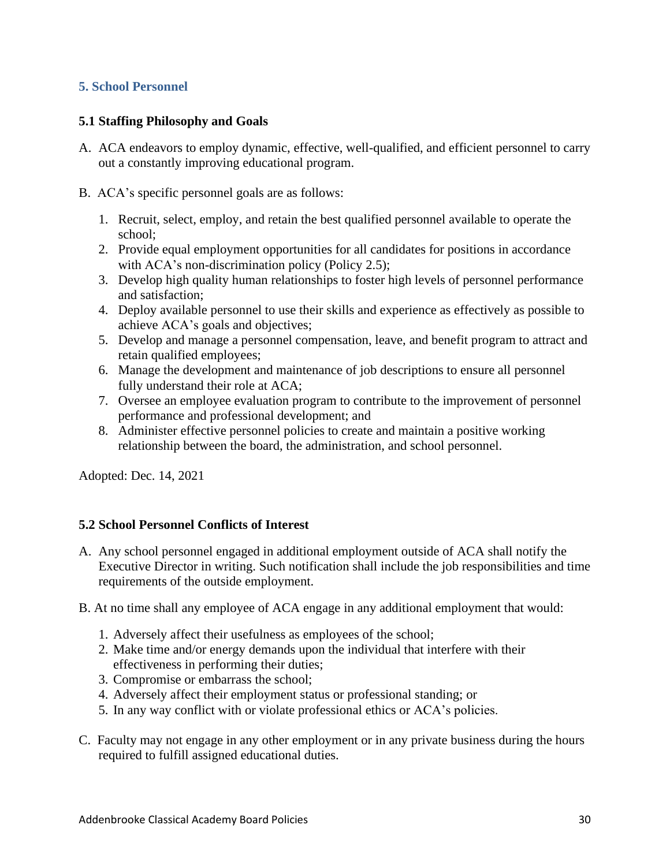# **5. School Personnel**

# **5.1 Staffing Philosophy and Goals**

- A. ACA endeavors to employ dynamic, effective, well-qualified, and efficient personnel to carry out a constantly improving educational program.
- B. ACA's specific personnel goals are as follows:
	- 1. Recruit, select, employ, and retain the best qualified personnel available to operate the school;
	- 2. Provide equal employment opportunities for all candidates for positions in accordance with ACA's non-discrimination policy (Policy 2.5);
	- 3. Develop high quality human relationships to foster high levels of personnel performance and satisfaction;
	- 4. Deploy available personnel to use their skills and experience as effectively as possible to achieve ACA's goals and objectives;
	- 5. Develop and manage a personnel compensation, leave, and benefit program to attract and retain qualified employees;
	- 6. Manage the development and maintenance of job descriptions to ensure all personnel fully understand their role at ACA;
	- 7. Oversee an employee evaluation program to contribute to the improvement of personnel performance and professional development; and
	- 8. Administer effective personnel policies to create and maintain a positive working relationship between the board, the administration, and school personnel.

Adopted: Dec. 14, 2021

# **5.2 School Personnel Conflicts of Interest**

- A. Any school personnel engaged in additional employment outside of ACA shall notify the Executive Director in writing. Such notification shall include the job responsibilities and time requirements of the outside employment.
- B. At no time shall any employee of ACA engage in any additional employment that would:
	- 1. Adversely affect their usefulness as employees of the school;
	- 2. Make time and/or energy demands upon the individual that interfere with their effectiveness in performing their duties;
	- 3. Compromise or embarrass the school;
	- 4. Adversely affect their employment status or professional standing; or
	- 5. In any way conflict with or violate professional ethics or ACA's policies.
- C. Faculty may not engage in any other employment or in any private business during the hours required to fulfill assigned educational duties.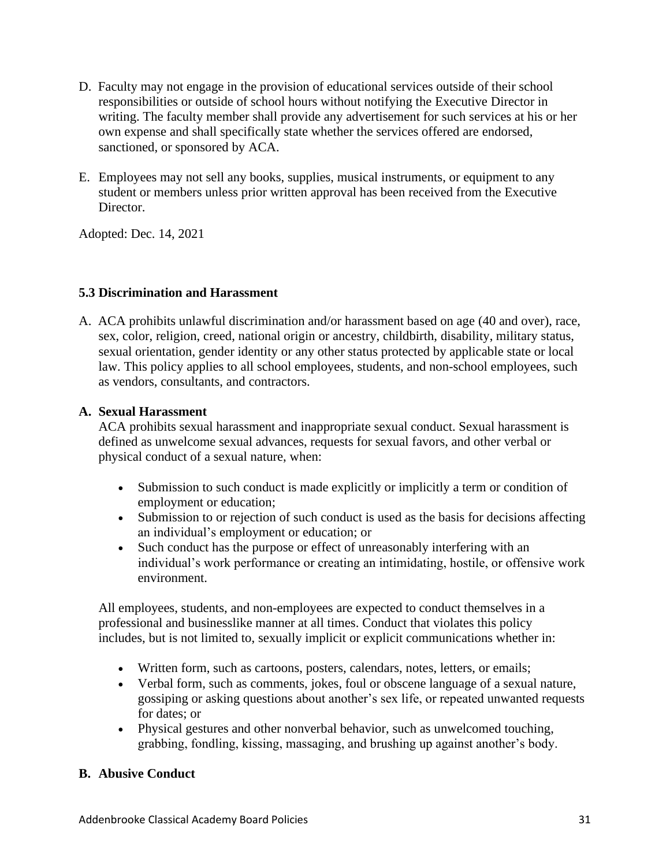- D. Faculty may not engage in the provision of educational services outside of their school responsibilities or outside of school hours without notifying the Executive Director in writing. The faculty member shall provide any advertisement for such services at his or her own expense and shall specifically state whether the services offered are endorsed, sanctioned, or sponsored by ACA.
- E. Employees may not sell any books, supplies, musical instruments, or equipment to any student or members unless prior written approval has been received from the Executive Director.

Adopted: Dec. 14, 2021

# **5.3 Discrimination and Harassment**

A. ACA prohibits unlawful discrimination and/or harassment based on age (40 and over), race, sex, color, religion, creed, national origin or ancestry, childbirth, disability, military status, sexual orientation, gender identity or any other status protected by applicable state or local law. This policy applies to all school employees, students, and non-school employees, such as vendors, consultants, and contractors.

# **A. Sexual Harassment**

ACA prohibits sexual harassment and inappropriate sexual conduct. Sexual harassment is defined as unwelcome sexual advances, requests for sexual favors, and other verbal or physical conduct of a sexual nature, when:

- Submission to such conduct is made explicitly or implicitly a term or condition of employment or education;
- Submission to or rejection of such conduct is used as the basis for decisions affecting an individual's employment or education; or
- Such conduct has the purpose or effect of unreasonably interfering with an individual's work performance or creating an intimidating, hostile, or offensive work environment.

All employees, students, and non-employees are expected to conduct themselves in a professional and businesslike manner at all times. Conduct that violates this policy includes, but is not limited to, sexually implicit or explicit communications whether in:

- Written form, such as cartoons, posters, calendars, notes, letters, or emails;
- Verbal form, such as comments, jokes, foul or obscene language of a sexual nature, gossiping or asking questions about another's sex life, or repeated unwanted requests for dates; or
- Physical gestures and other nonverbal behavior, such as unwelcomed touching, grabbing, fondling, kissing, massaging, and brushing up against another's body.

# **B. Abusive Conduct**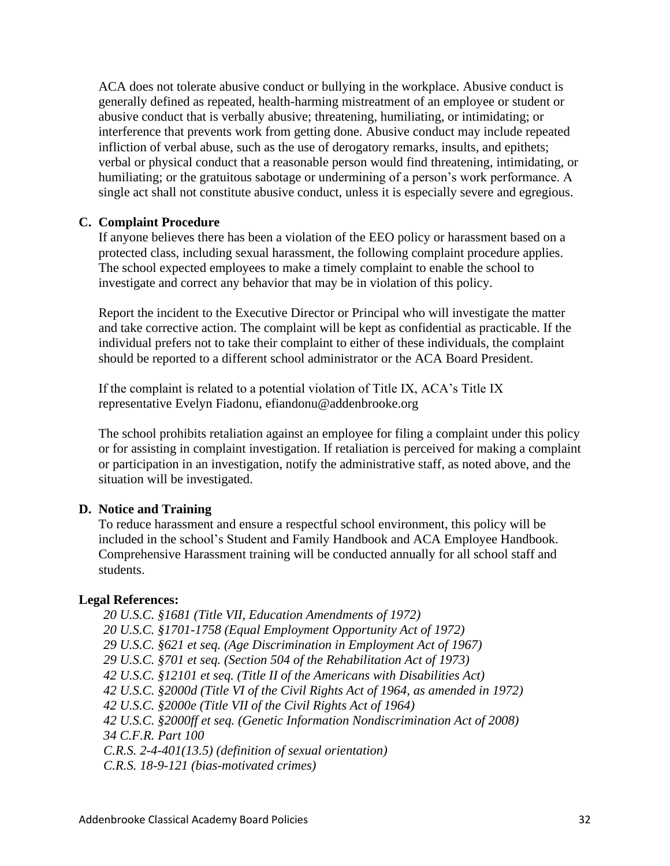ACA does not tolerate abusive conduct or bullying in the workplace. Abusive conduct is generally defined as repeated, health-harming mistreatment of an employee or student or abusive conduct that is verbally abusive; threatening, humiliating, or intimidating; or interference that prevents work from getting done. Abusive conduct may include repeated infliction of verbal abuse, such as the use of derogatory remarks, insults, and epithets; verbal or physical conduct that a reasonable person would find threatening, intimidating, or humiliating; or the gratuitous sabotage or undermining of a person's work performance. A single act shall not constitute abusive conduct, unless it is especially severe and egregious.

# **C. Complaint Procedure**

If anyone believes there has been a violation of the EEO policy or harassment based on a protected class, including sexual harassment, the following complaint procedure applies. The school expected employees to make a timely complaint to enable the school to investigate and correct any behavior that may be in violation of this policy.

Report the incident to the Executive Director or Principal who will investigate the matter and take corrective action. The complaint will be kept as confidential as practicable. If the individual prefers not to take their complaint to either of these individuals, the complaint should be reported to a different school administrator or the ACA Board President.

If the complaint is related to a potential violation of Title IX, ACA's Title IX representative Evelyn Fiadonu, efiandonu@addenbrooke.org

The school prohibits retaliation against an employee for filing a complaint under this policy or for assisting in complaint investigation. If retaliation is perceived for making a complaint or participation in an investigation, notify the administrative staff, as noted above, and the situation will be investigated.

# **D. Notice and Training**

To reduce harassment and ensure a respectful school environment, this policy will be included in the school's Student and Family Handbook and ACA Employee Handbook. Comprehensive Harassment training will be conducted annually for all school staff and students.

# **Legal References:**

*20 U.S.C. §1681 (Title VII, Education Amendments of 1972) 20 U.S.C. §1701-1758 (Equal Employment Opportunity Act of 1972) 29 U.S.C. §621 et seq. (Age Discrimination in Employment Act of 1967) 29 U.S.C. §701 et seq. (Section 504 of the Rehabilitation Act of 1973) 42 U.S.C. §12101 et seq. (Title II of the Americans with Disabilities Act) 42 U.S.C. §2000d (Title VI of the Civil Rights Act of 1964, as amended in 1972) 42 U.S.C. §2000e (Title VII of the Civil Rights Act of 1964) 42 U.S.C. §2000ff et seq. (Genetic Information Nondiscrimination Act of 2008) 34 C.F.R. Part 100 C.R.S. 2-4-401(13.5) (definition of sexual orientation) C.R.S. 18-9-121 (bias-motivated crimes)*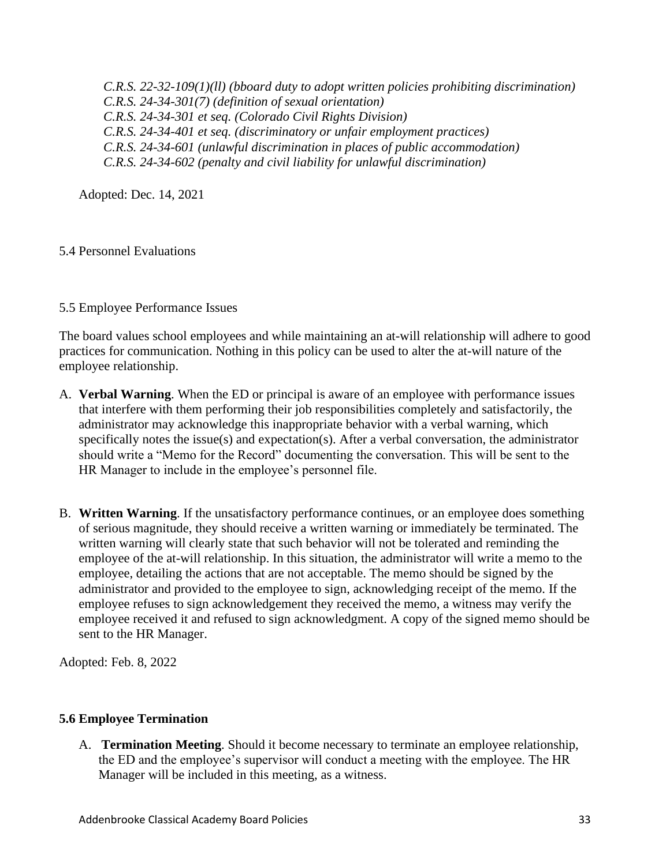*C.R.S. 22-32-109(1)(ll) (bboard duty to adopt written policies prohibiting discrimination) C.R.S. 24-34-301(7) (definition of sexual orientation) C.R.S. 24-34-301 et seq. (Colorado Civil Rights Division) C.R.S. 24-34-401 et seq. (discriminatory or unfair employment practices) C.R.S. 24-34-601 (unlawful discrimination in places of public accommodation) C.R.S. 24-34-602 (penalty and civil liability for unlawful discrimination)*

Adopted: Dec. 14, 2021

# 5.4 Personnel Evaluations

# 5.5 Employee Performance Issues

The board values school employees and while maintaining an at-will relationship will adhere to good practices for communication. Nothing in this policy can be used to alter the at-will nature of the employee relationship.

- A. **Verbal Warning**. When the ED or principal is aware of an employee with performance issues that interfere with them performing their job responsibilities completely and satisfactorily, the administrator may acknowledge this inappropriate behavior with a verbal warning, which specifically notes the issue(s) and expectation(s). After a verbal conversation, the administrator should write a "Memo for the Record" documenting the conversation. This will be sent to the HR Manager to include in the employee's personnel file.
- B. **Written Warning**. If the unsatisfactory performance continues, or an employee does something of serious magnitude, they should receive a written warning or immediately be terminated. The written warning will clearly state that such behavior will not be tolerated and reminding the employee of the at-will relationship. In this situation, the administrator will write a memo to the employee, detailing the actions that are not acceptable. The memo should be signed by the administrator and provided to the employee to sign, acknowledging receipt of the memo. If the employee refuses to sign acknowledgement they received the memo, a witness may verify the employee received it and refused to sign acknowledgment. A copy of the signed memo should be sent to the HR Manager.

Adopted: Feb. 8, 2022

# **5.6 Employee Termination**

A. **Termination Meeting**. Should it become necessary to terminate an employee relationship, the ED and the employee's supervisor will conduct a meeting with the employee. The HR Manager will be included in this meeting, as a witness.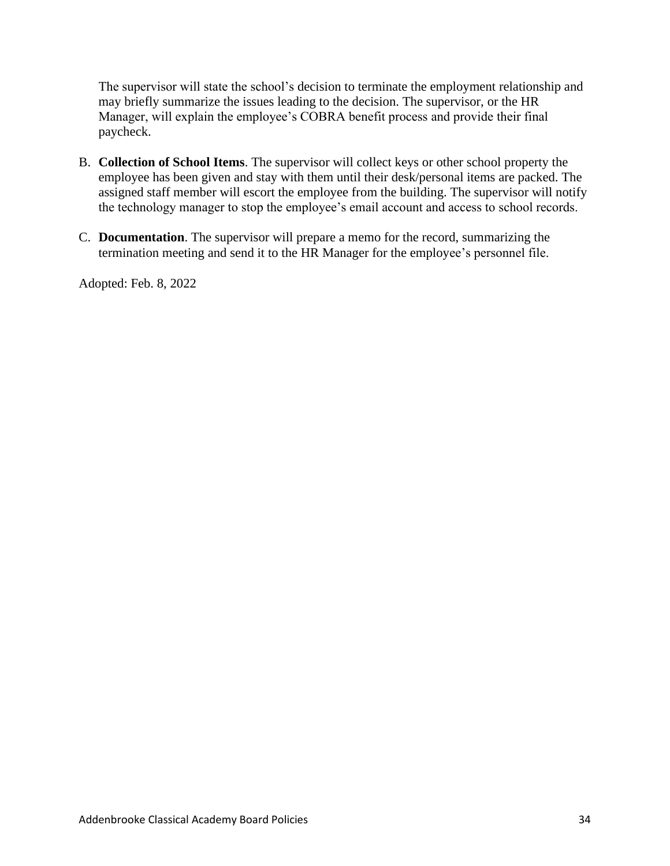The supervisor will state the school's decision to terminate the employment relationship and may briefly summarize the issues leading to the decision. The supervisor, or the HR Manager, will explain the employee's COBRA benefit process and provide their final paycheck.

- B. **Collection of School Items**. The supervisor will collect keys or other school property the employee has been given and stay with them until their desk/personal items are packed. The assigned staff member will escort the employee from the building. The supervisor will notify the technology manager to stop the employee's email account and access to school records.
- C. **Documentation**. The supervisor will prepare a memo for the record, summarizing the termination meeting and send it to the HR Manager for the employee's personnel file.

Adopted: Feb. 8, 2022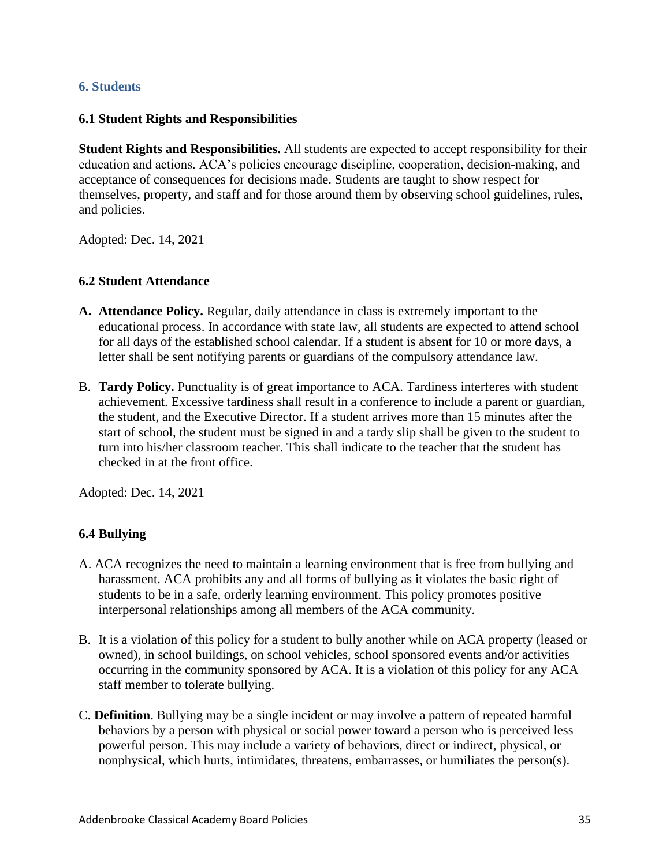# **6. Students**

# **6.1 Student Rights and Responsibilities**

**Student Rights and Responsibilities.** All students are expected to accept responsibility for their education and actions. ACA's policies encourage discipline, cooperation, decision-making, and acceptance of consequences for decisions made. Students are taught to show respect for themselves, property, and staff and for those around them by observing school guidelines, rules, and policies.

Adopted: Dec. 14, 2021

#### **6.2 Student Attendance**

- **A. Attendance Policy.** Regular, daily attendance in class is extremely important to the educational process. In accordance with state law, all students are expected to attend school for all days of the established school calendar. If a student is absent for 10 or more days, a letter shall be sent notifying parents or guardians of the compulsory attendance law.
- B. **Tardy Policy.** Punctuality is of great importance to ACA. Tardiness interferes with student achievement. Excessive tardiness shall result in a conference to include a parent or guardian, the student, and the Executive Director. If a student arrives more than 15 minutes after the start of school, the student must be signed in and a tardy slip shall be given to the student to turn into his/her classroom teacher. This shall indicate to the teacher that the student has checked in at the front office.

Adopted: Dec. 14, 2021

# **6.4 Bullying**

- A. ACA recognizes the need to maintain a learning environment that is free from bullying and harassment. ACA prohibits any and all forms of bullying as it violates the basic right of students to be in a safe, orderly learning environment. This policy promotes positive interpersonal relationships among all members of the ACA community.
- B. It is a violation of this policy for a student to bully another while on ACA property (leased or owned), in school buildings, on school vehicles, school sponsored events and/or activities occurring in the community sponsored by ACA. It is a violation of this policy for any ACA staff member to tolerate bullying.
- C. **Definition**. Bullying may be a single incident or may involve a pattern of repeated harmful behaviors by a person with physical or social power toward a person who is perceived less powerful person. This may include a variety of behaviors, direct or indirect, physical, or nonphysical, which hurts, intimidates, threatens, embarrasses, or humiliates the person(s).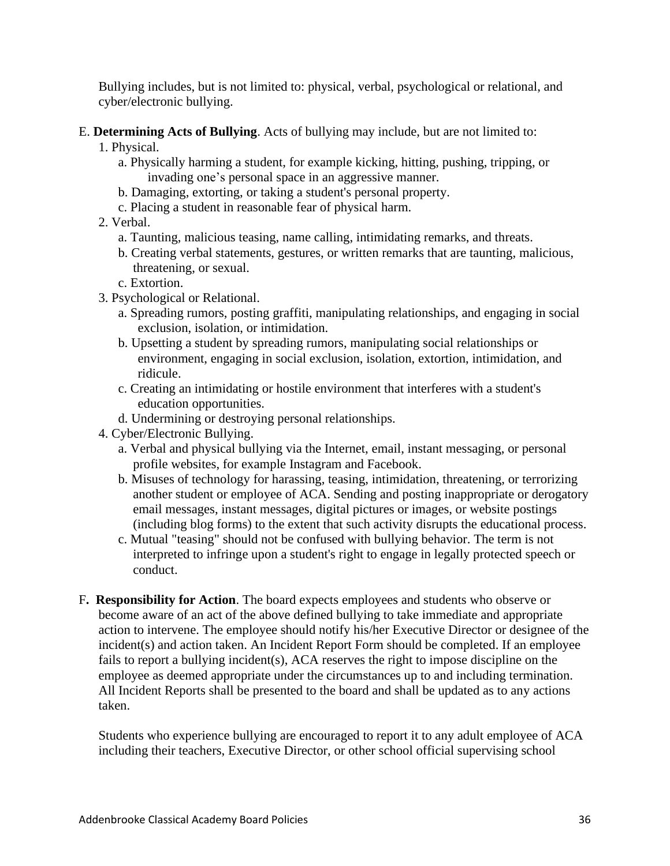Bullying includes, but is not limited to: physical, verbal, psychological or relational, and cyber/electronic bullying.

# E. **Determining Acts of Bullying**. Acts of bullying may include, but are not limited to:

- 1. Physical.
	- a. Physically harming a student, for example kicking, hitting, pushing, tripping, or invading one's personal space in an aggressive manner.
	- b. Damaging, extorting, or taking a student's personal property.
	- c. Placing a student in reasonable fear of physical harm.
- 2. Verbal.
	- a. Taunting, malicious teasing, name calling, intimidating remarks, and threats.
	- b. Creating verbal statements, gestures, or written remarks that are taunting, malicious, threatening, or sexual.
	- c. Extortion.
- 3. Psychological or Relational.
	- a. Spreading rumors, posting graffiti, manipulating relationships, and engaging in social exclusion, isolation, or intimidation.
	- b. Upsetting a student by spreading rumors, manipulating social relationships or environment, engaging in social exclusion, isolation, extortion, intimidation, and ridicule.
	- c. Creating an intimidating or hostile environment that interferes with a student's education opportunities.
	- d. Undermining or destroying personal relationships.
- 4. Cyber/Electronic Bullying.
	- a. Verbal and physical bullying via the Internet, email, instant messaging, or personal profile websites, for example Instagram and Facebook.
	- b. Misuses of technology for harassing, teasing, intimidation, threatening, or terrorizing another student or employee of ACA. Sending and posting inappropriate or derogatory email messages, instant messages, digital pictures or images, or website postings (including blog forms) to the extent that such activity disrupts the educational process.
	- c. Mutual "teasing" should not be confused with bullying behavior. The term is not interpreted to infringe upon a student's right to engage in legally protected speech or conduct.
- F**. Responsibility for Action**. The board expects employees and students who observe or become aware of an act of the above defined bullying to take immediate and appropriate action to intervene. The employee should notify his/her Executive Director or designee of the incident(s) and action taken. An Incident Report Form should be completed. If an employee fails to report a bullying incident(s), ACA reserves the right to impose discipline on the employee as deemed appropriate under the circumstances up to and including termination. All Incident Reports shall be presented to the board and shall be updated as to any actions taken.

Students who experience bullying are encouraged to report it to any adult employee of ACA including their teachers, Executive Director, or other school official supervising school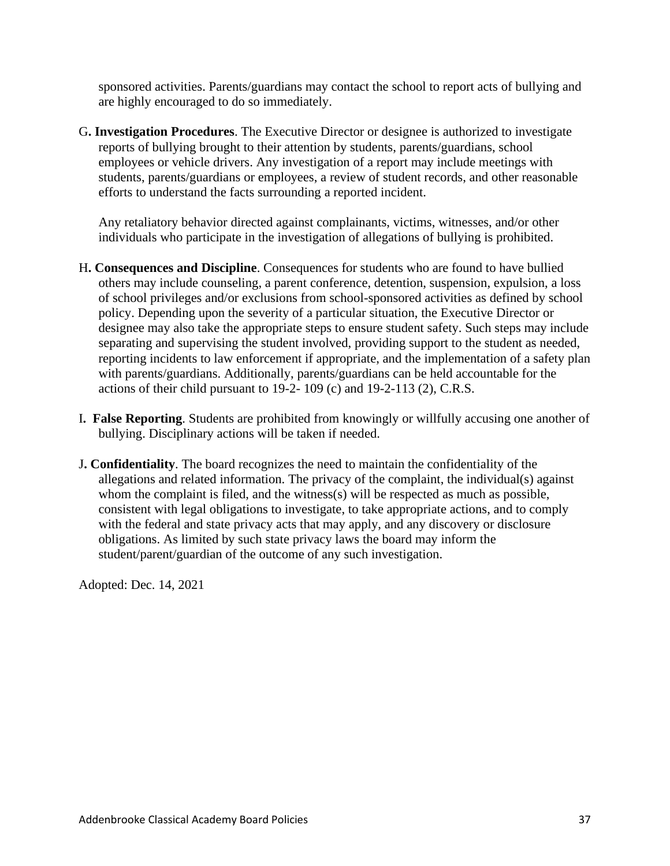sponsored activities. Parents/guardians may contact the school to report acts of bullying and are highly encouraged to do so immediately.

G**. Investigation Procedures**. The Executive Director or designee is authorized to investigate reports of bullying brought to their attention by students, parents/guardians, school employees or vehicle drivers. Any investigation of a report may include meetings with students, parents/guardians or employees, a review of student records, and other reasonable efforts to understand the facts surrounding a reported incident.

Any retaliatory behavior directed against complainants, victims, witnesses, and/or other individuals who participate in the investigation of allegations of bullying is prohibited.

- H**. Consequences and Discipline**. Consequences for students who are found to have bullied others may include counseling, a parent conference, detention, suspension, expulsion, a loss of school privileges and/or exclusions from school-sponsored activities as defined by school policy. Depending upon the severity of a particular situation, the Executive Director or designee may also take the appropriate steps to ensure student safety. Such steps may include separating and supervising the student involved, providing support to the student as needed, reporting incidents to law enforcement if appropriate, and the implementation of a safety plan with parents/guardians. Additionally, parents/guardians can be held accountable for the actions of their child pursuant to 19-2- 109 (c) and 19-2-113 (2), C.R.S.
- I**. False Reporting**. Students are prohibited from knowingly or willfully accusing one another of bullying. Disciplinary actions will be taken if needed.
- J**. Confidentiality**. The board recognizes the need to maintain the confidentiality of the allegations and related information. The privacy of the complaint, the individual(s) against whom the complaint is filed, and the witness(s) will be respected as much as possible, consistent with legal obligations to investigate, to take appropriate actions, and to comply with the federal and state privacy acts that may apply, and any discovery or disclosure obligations. As limited by such state privacy laws the board may inform the student/parent/guardian of the outcome of any such investigation.

Adopted: Dec. 14, 2021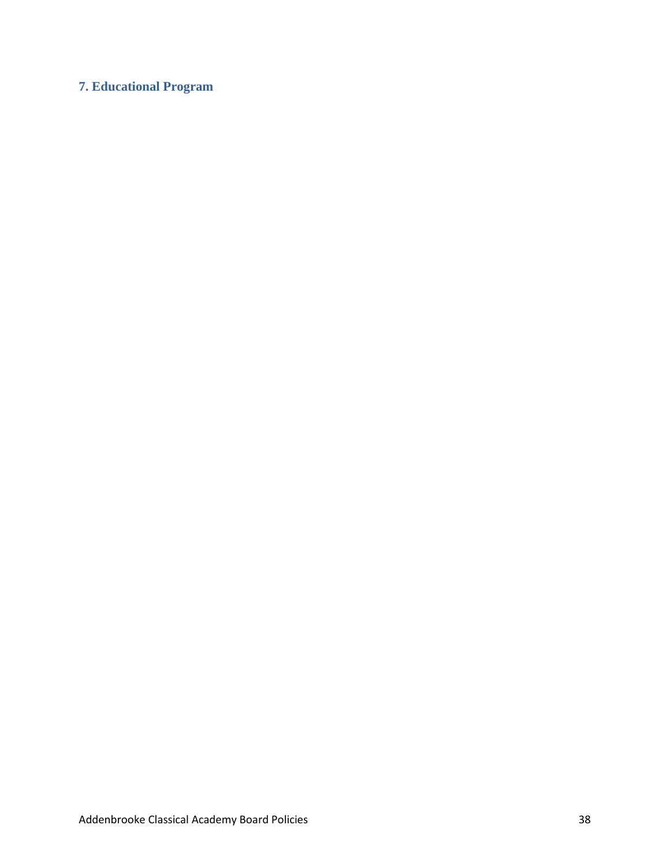# **7. Educational Program**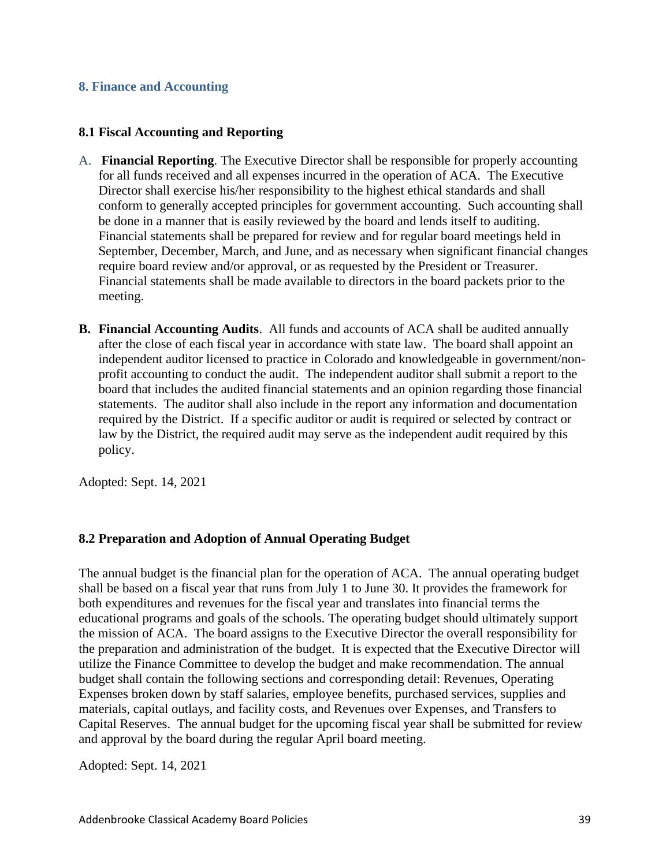# **8. Finance and Accounting**

# **8.1 Fiscal Accounting and Reporting**

- A. **Financial Reporting**. The Executive Director shall be responsible for properly accounting for all funds received and all expenses incurred in the operation of ACA. The Executive Director shall exercise his/her responsibility to the highest ethical standards and shall conform to generally accepted principles for government accounting. Such accounting shall be done in a manner that is easily reviewed by the board and lends itself to auditing. Financial statements shall be prepared for review and for regular board meetings held in September, December, March, and June, and as necessary when significant financial changes require board review and/or approval, or as requested by the President or Treasurer. Financial statements shall be made available to directors in the board packets prior to the meeting.
- **B. Financial Accounting Audits**. All funds and accounts of ACA shall be audited annually after the close of each fiscal year in accordance with state law. The board shall appoint an independent auditor licensed to practice in Colorado and knowledgeable in government/nonprofit accounting to conduct the audit. The independent auditor shall submit a report to the board that includes the audited financial statements and an opinion regarding those financial statements. The auditor shall also include in the report any information and documentation required by the District. If a specific auditor or audit is required or selected by contract or law by the District, the required audit may serve as the independent audit required by this policy.

Adopted: Sept. 14, 2021

# **8.2 Preparation and Adoption of Annual Operating Budget**

The annual budget is the financial plan for the operation of ACA. The annual operating budget shall be based on a fiscal year that runs from July 1 to June 30. It provides the framework for both expenditures and revenues for the fiscal year and translates into financial terms the educational programs and goals of the schools. The operating budget should ultimately support the mission of ACA. The board assigns to the Executive Director the overall responsibility for the preparation and administration of the budget. It is expected that the Executive Director will utilize the Finance Committee to develop the budget and make recommendation. The annual budget shall contain the following sections and corresponding detail: Revenues, Operating Expenses broken down by staff salaries, employee benefits, purchased services, supplies and materials, capital outlays, and facility costs, and Revenues over Expenses, and Transfers to Capital Reserves. The annual budget for the upcoming fiscal year shall be submitted for review and approval by the board during the regular April board meeting.

Adopted: Sept. 14, 2021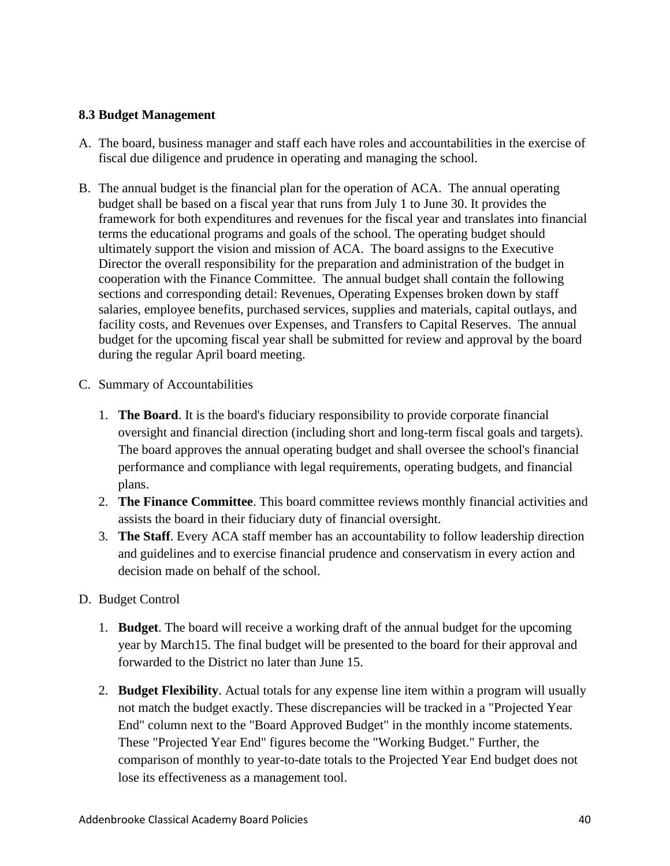# **8.3 Budget Management**

- A. The board, business manager and staff each have roles and accountabilities in the exercise of fiscal due diligence and prudence in operating and managing the school.
- B. The annual budget is the financial plan for the operation of ACA. The annual operating budget shall be based on a fiscal year that runs from July 1 to June 30. It provides the framework for both expenditures and revenues for the fiscal year and translates into financial terms the educational programs and goals of the school. The operating budget should ultimately support the vision and mission of ACA. The board assigns to the Executive Director the overall responsibility for the preparation and administration of the budget in cooperation with the Finance Committee. The annual budget shall contain the following sections and corresponding detail: Revenues, Operating Expenses broken down by staff salaries, employee benefits, purchased services, supplies and materials, capital outlays, and facility costs, and Revenues over Expenses, and Transfers to Capital Reserves. The annual budget for the upcoming fiscal year shall be submitted for review and approval by the board during the regular April board meeting.
- C. Summary of Accountabilities
	- 1. **The Board**. It is the board's fiduciary responsibility to provide corporate financial oversight and financial direction (including short and long-term fiscal goals and targets). The board approves the annual operating budget and shall oversee the school's financial performance and compliance with legal requirements, operating budgets, and financial plans.
	- 2. **The Finance Committee**. This board committee reviews monthly financial activities and assists the board in their fiduciary duty of financial oversight.
	- 3. **The Staff**. Every ACA staff member has an accountability to follow leadership direction and guidelines and to exercise financial prudence and conservatism in every action and decision made on behalf of the school.
- D. Budget Control
	- 1. **Budget**. The board will receive a working draft of the annual budget for the upcoming year by March15. The final budget will be presented to the board for their approval and forwarded to the District no later than June 15.
	- 2. **Budget Flexibility**. Actual totals for any expense line item within a program will usually not match the budget exactly. These discrepancies will be tracked in a "Projected Year End" column next to the "Board Approved Budget" in the monthly income statements. These "Projected Year End" figures become the "Working Budget." Further, the comparison of monthly to year-to-date totals to the Projected Year End budget does not lose its effectiveness as a management tool.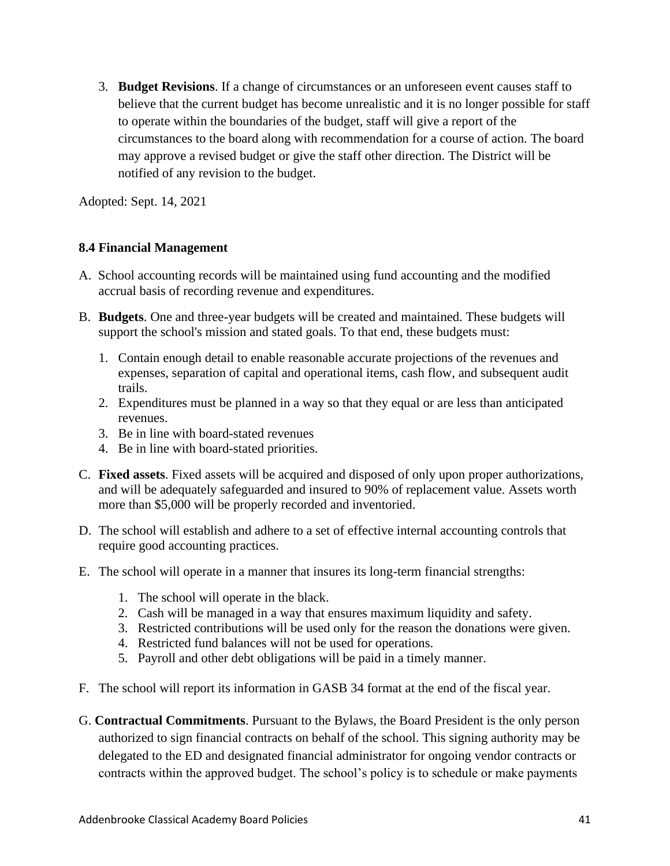3. **Budget Revisions**. If a change of circumstances or an unforeseen event causes staff to believe that the current budget has become unrealistic and it is no longer possible for staff to operate within the boundaries of the budget, staff will give a report of the circumstances to the board along with recommendation for a course of action. The board may approve a revised budget or give the staff other direction. The District will be notified of any revision to the budget.

Adopted: Sept. 14, 2021

# **8.4 Financial Management**

- A. School accounting records will be maintained using fund accounting and the modified accrual basis of recording revenue and expenditures.
- B. **Budgets**. One and three-year budgets will be created and maintained. These budgets will support the school's mission and stated goals. To that end, these budgets must:
	- 1. Contain enough detail to enable reasonable accurate projections of the revenues and expenses, separation of capital and operational items, cash flow, and subsequent audit trails.
	- 2. Expenditures must be planned in a way so that they equal or are less than anticipated revenues.
	- 3. Be in line with board-stated revenues
	- 4. Be in line with board-stated priorities.
- C. **Fixed assets**. Fixed assets will be acquired and disposed of only upon proper authorizations, and will be adequately safeguarded and insured to 90% of replacement value. Assets worth more than \$5,000 will be properly recorded and inventoried.
- D. The school will establish and adhere to a set of effective internal accounting controls that require good accounting practices.
- E. The school will operate in a manner that insures its long-term financial strengths:
	- 1. The school will operate in the black.
	- 2. Cash will be managed in a way that ensures maximum liquidity and safety.
	- 3. Restricted contributions will be used only for the reason the donations were given.
	- 4. Restricted fund balances will not be used for operations.
	- 5. Payroll and other debt obligations will be paid in a timely manner.
- F. The school will report its information in GASB 34 format at the end of the fiscal year.
- G. **Contractual Commitments**. Pursuant to the Bylaws, the Board President is the only person authorized to sign financial contracts on behalf of the school. This signing authority may be delegated to the ED and designated financial administrator for ongoing vendor contracts or contracts within the approved budget. The school's policy is to schedule or make payments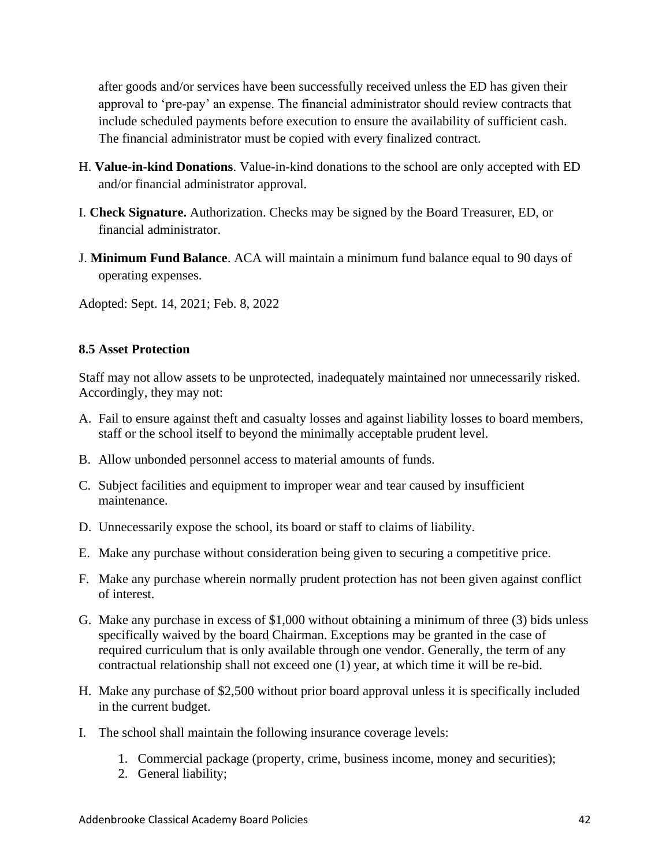after goods and/or services have been successfully received unless the ED has given their approval to 'pre-pay' an expense. The financial administrator should review contracts that include scheduled payments before execution to ensure the availability of sufficient cash. The financial administrator must be copied with every finalized contract.

- H. **Value-in-kind Donations**. Value-in-kind donations to the school are only accepted with ED and/or financial administrator approval.
- I. **Check Signature.** Authorization. Checks may be signed by the Board Treasurer, ED, or financial administrator.
- J. **Minimum Fund Balance**. ACA will maintain a minimum fund balance equal to 90 days of operating expenses.

Adopted: Sept. 14, 2021; Feb. 8, 2022

# **8.5 Asset Protection**

Staff may not allow assets to be unprotected, inadequately maintained nor unnecessarily risked. Accordingly, they may not:

- A. Fail to ensure against theft and casualty losses and against liability losses to board members, staff or the school itself to beyond the minimally acceptable prudent level.
- B. Allow unbonded personnel access to material amounts of funds.
- C. Subject facilities and equipment to improper wear and tear caused by insufficient maintenance.
- D. Unnecessarily expose the school, its board or staff to claims of liability.
- E. Make any purchase without consideration being given to securing a competitive price.
- F. Make any purchase wherein normally prudent protection has not been given against conflict of interest.
- G. Make any purchase in excess of \$1,000 without obtaining a minimum of three (3) bids unless specifically waived by the board Chairman. Exceptions may be granted in the case of required curriculum that is only available through one vendor. Generally, the term of any contractual relationship shall not exceed one (1) year, at which time it will be re-bid.
- H. Make any purchase of \$2,500 without prior board approval unless it is specifically included in the current budget.
- I. The school shall maintain the following insurance coverage levels:
	- 1. Commercial package (property, crime, business income, money and securities);
	- 2. General liability;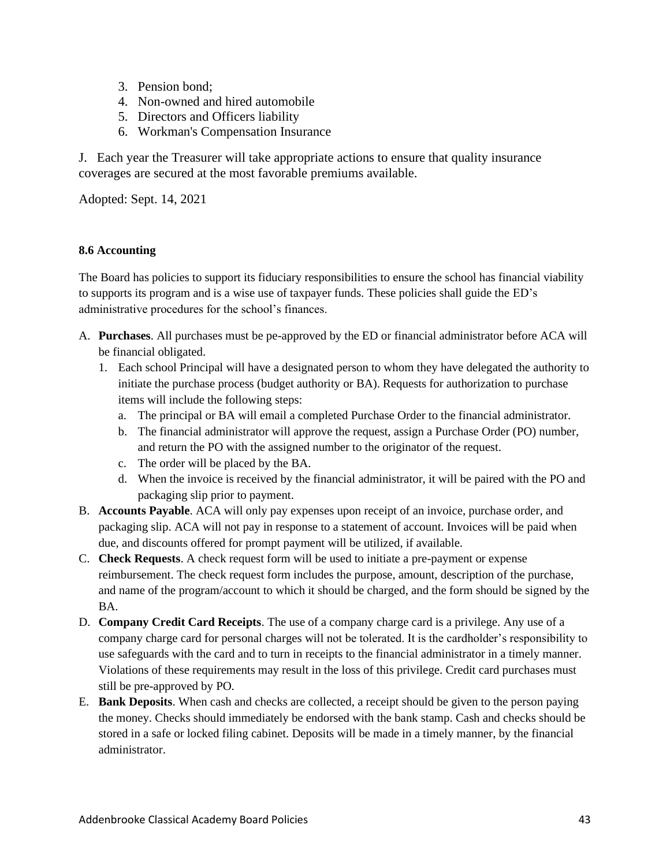- 3. Pension bond;
- 4. Non-owned and hired automobile
- 5. Directors and Officers liability
- 6. Workman's Compensation Insurance

J. Each year the Treasurer will take appropriate actions to ensure that quality insurance coverages are secured at the most favorable premiums available.

Adopted: Sept. 14, 2021

#### **8.6 Accounting**

The Board has policies to support its fiduciary responsibilities to ensure the school has financial viability to supports its program and is a wise use of taxpayer funds. These policies shall guide the ED's administrative procedures for the school's finances.

- A. **Purchases**. All purchases must be pe-approved by the ED or financial administrator before ACA will be financial obligated.
	- 1. Each school Principal will have a designated person to whom they have delegated the authority to initiate the purchase process (budget authority or BA). Requests for authorization to purchase items will include the following steps:
		- a. The principal or BA will email a completed Purchase Order to the financial administrator.
		- b. The financial administrator will approve the request, assign a Purchase Order (PO) number, and return the PO with the assigned number to the originator of the request.
		- c. The order will be placed by the BA.
		- d. When the invoice is received by the financial administrator, it will be paired with the PO and packaging slip prior to payment.
- B. **Accounts Payable**. ACA will only pay expenses upon receipt of an invoice, purchase order, and packaging slip. ACA will not pay in response to a statement of account. Invoices will be paid when due, and discounts offered for prompt payment will be utilized, if available.
- C. **Check Requests**. A check request form will be used to initiate a pre-payment or expense reimbursement. The check request form includes the purpose, amount, description of the purchase, and name of the program/account to which it should be charged, and the form should be signed by the BA.
- D. **Company Credit Card Receipts**. The use of a company charge card is a privilege. Any use of a company charge card for personal charges will not be tolerated. It is the cardholder's responsibility to use safeguards with the card and to turn in receipts to the financial administrator in a timely manner. Violations of these requirements may result in the loss of this privilege. Credit card purchases must still be pre-approved by PO.
- E. **Bank Deposits**. When cash and checks are collected, a receipt should be given to the person paying the money. Checks should immediately be endorsed with the bank stamp. Cash and checks should be stored in a safe or locked filing cabinet. Deposits will be made in a timely manner, by the financial administrator.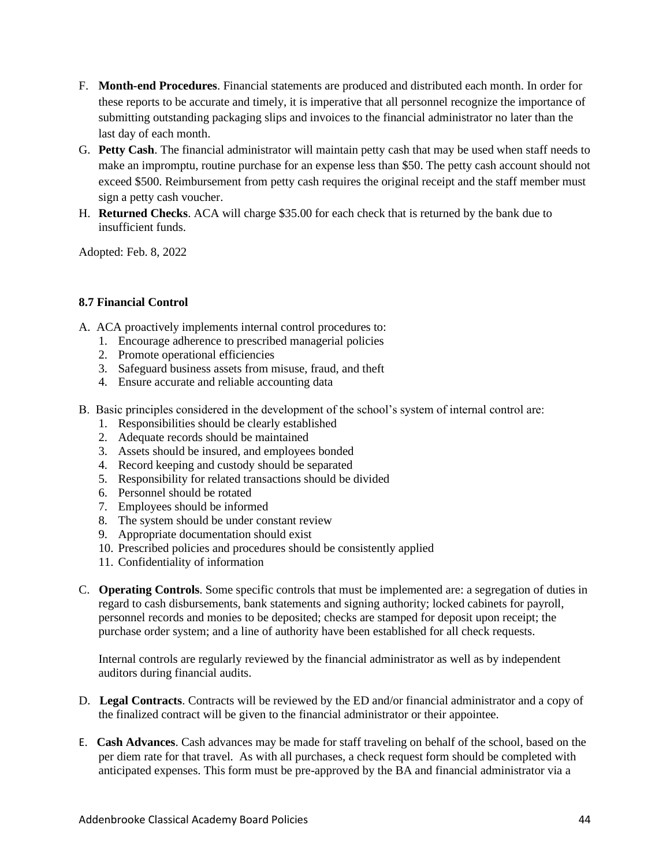- F. **Month-end Procedures**. Financial statements are produced and distributed each month. In order for these reports to be accurate and timely, it is imperative that all personnel recognize the importance of submitting outstanding packaging slips and invoices to the financial administrator no later than the last day of each month.
- G. **Petty Cash**. The financial administrator will maintain petty cash that may be used when staff needs to make an impromptu, routine purchase for an expense less than \$50. The petty cash account should not exceed \$500. Reimbursement from petty cash requires the original receipt and the staff member must sign a petty cash voucher.
- H. **Returned Checks**. ACA will charge \$35.00 for each check that is returned by the bank due to insufficient funds.

Adopted: Feb. 8, 2022

#### **8.7 Financial Control**

- A. ACA proactively implements internal control procedures to:
	- 1. Encourage adherence to prescribed managerial policies
	- 2. Promote operational efficiencies
	- 3. Safeguard business assets from misuse, fraud, and theft
	- 4. Ensure accurate and reliable accounting data
- B. Basic principles considered in the development of the school's system of internal control are:
	- 1. Responsibilities should be clearly established
	- 2. Adequate records should be maintained
	- 3. Assets should be insured, and employees bonded
	- 4. Record keeping and custody should be separated
	- 5. Responsibility for related transactions should be divided
	- 6. Personnel should be rotated
	- 7. Employees should be informed
	- 8. The system should be under constant review
	- 9. Appropriate documentation should exist
	- 10. Prescribed policies and procedures should be consistently applied
	- 11. Confidentiality of information
- C. **Operating Controls**. Some specific controls that must be implemented are: a segregation of duties in regard to cash disbursements, bank statements and signing authority; locked cabinets for payroll, personnel records and monies to be deposited; checks are stamped for deposit upon receipt; the purchase order system; and a line of authority have been established for all check requests.

Internal controls are regularly reviewed by the financial administrator as well as by independent auditors during financial audits.

- D. **Legal Contracts**. Contracts will be reviewed by the ED and/or financial administrator and a copy of the finalized contract will be given to the financial administrator or their appointee.
- E. **Cash Advances**. Cash advances may be made for staff traveling on behalf of the school, based on the per diem rate for that travel. As with all purchases, a check request form should be completed with anticipated expenses. This form must be pre-approved by the BA and financial administrator via a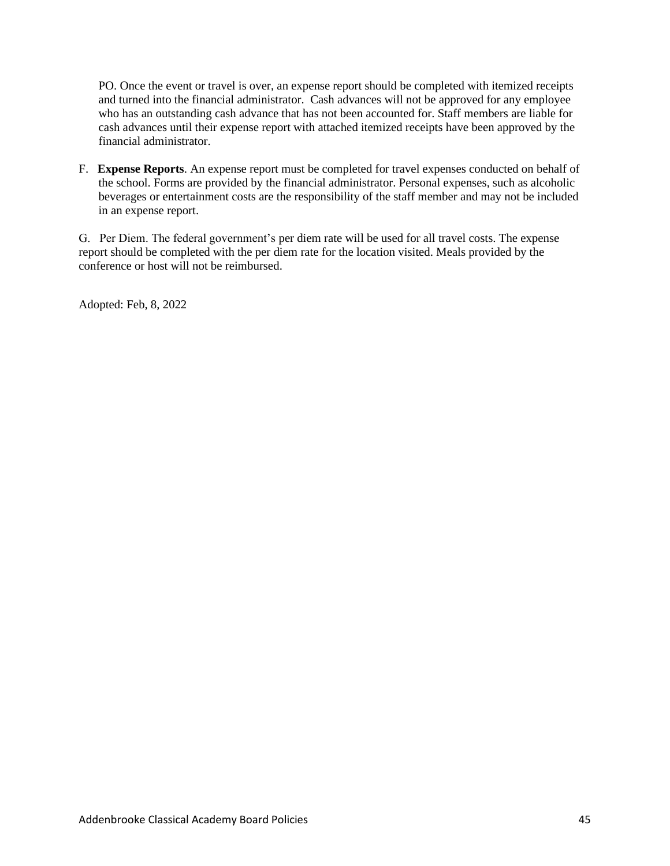PO. Once the event or travel is over, an expense report should be completed with itemized receipts and turned into the financial administrator. Cash advances will not be approved for any employee who has an outstanding cash advance that has not been accounted for. Staff members are liable for cash advances until their expense report with attached itemized receipts have been approved by the financial administrator.

F. **Expense Reports**. An expense report must be completed for travel expenses conducted on behalf of the school. Forms are provided by the financial administrator. Personal expenses, such as alcoholic beverages or entertainment costs are the responsibility of the staff member and may not be included in an expense report.

G. Per Diem. The federal government's per diem rate will be used for all travel costs. The expense report should be completed with the per diem rate for the location visited. Meals provided by the conference or host will not be reimbursed.

Adopted: Feb, 8, 2022